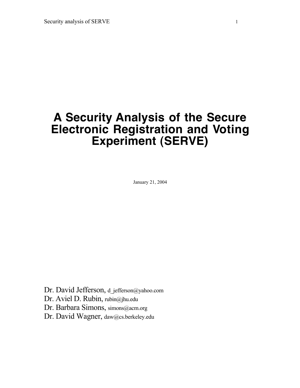# **A Security Analysis of the Secure Electronic Registration and Voting Experiment (SERVE)**

January 21, 2004

Dr. David Jefferson, d\_jefferson@yahoo.com

Dr. Aviel D. Rubin, rubin@jhu.edu

Dr. Barbara Simons, simons@acm.org

Dr. David Wagner, daw@cs.berkeley.edu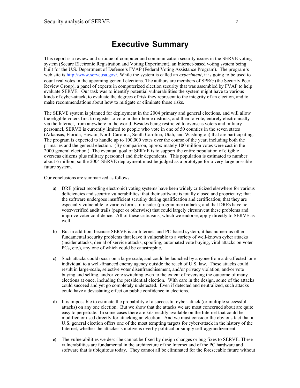### **Executive Summary**

This report is a review and critique of computer and communication security issues in the SERVE voting system (Secure Electronic Registration and Voting Experiment), an Internet-based voting system being built for the U.S. Department of Defense's FVAP (Federal Voting Assistance Program). The program's web site is http://www.serveusa.gov/ . While the system is called an *experiment*, it is going to be used to count real votes in the upcoming general elections. The authors are members of SPRG (the Security Peer Review Group), a panel of experts in computerized election security that was assembled by FVAP to help evaluate SERVE. Our task was to identify potential vulnerabilities the system might have to various kinds of cyber-attack, to evaluate the degrees of risk they represent to the integrity of an election, and to make recommendations about how to mitigate or eliminate those risks.

The SERVE system is planned for deployment in the 2004 primary and general elections, and will allow the eligible voters first to register to vote in their home districts, and then to vote, entirely electronically via the Internet, from anywhere in the world. Besides being restricted to overseas voters and military personnel, SERVE is currently limited to people who vote in one of 50 counties in the seven states (Arkansas, Florida, Hawaii, North Carolina, South Carolina, Utah, and Washington) that are participating. The program is expected to handle up to 100,000 votes over the course of the year, including both the primaries and the general election. (By comparison, approximately 100 million votes were cast in the 2000 general election.) The eventual goal of SERVE is to support the entire population of eligible overseas citizens plus military personnel and their dependents. This population is estimated to number about 6 million, so the 2004 SERVE deployment must be judged as a prototype for a very large possible future system.

Our conclusions are summarized as follows:

- a) DRE (direct recording electronic) voting systems have been widely criticized elsewhere for various deficiencies and security vulnerabilities: that their software is totally closed and proprietary; that the software undergoes insufficient scrutiny during qualification and certification; that they are especially vulnerable to various forms of insider (programmer) attacks; and that DREs have no voter-verified audit trails (paper or otherwise) that could largely circumvent these problems and improve voter confidence. All of these criticisms, which we endorse, apply directly to SERVE as well.
- b) But in addition, because SERVE is an Internet- and PC-based system, it has numerous other fundamental security problems that leave it vulnerable to a variety of well-known cyber attacks (insider attacks, denial of service attacks, spoofing, automated vote buying, viral attacks on voter PCs, etc.), any one of which could be catastrophic.
- c) Such attacks could occur on a large-scale, and could be launched by anyone from a disaffected lone individual to a well-financed enemy agency outside the reach of U.S. law. These attacks could result in large-scale, selective voter disenfranchisement, and/or privacy violation, and/or vote buying and selling, and/or vote switching even to the extent of reversing the outcome of many elections at once, including the presidential election. With care in the design, some of the attacks could succeed and yet go completely undetected. Even if detected and neutralized, such attacks could have a devastating effect on public confidence in elections.
- d) It is impossible to estimate the probability of a successful cyber-attack (or multiple successful attacks) on any one election. But we show that the attacks we are most concerned about are quite easy to perpetrate. In some cases there are kits readily available on the Internet that could be modified or used directly for attacking an election. And we must consider the obvious fact that a U.S. general election offers one of the most tempting targets for cyber-attack in the history of the Internet, whether the attacker's motive is overtly political or simply self-aggrandizement.
- e) The vulnerabilities we describe cannot be fixed by design changes or bug fixes to SERVE. These vulnerabilities are fundamental in the architecture of the Internet and of the PC hardware and software that is ubiquitous today. They cannot all be eliminated for the foreseeable future without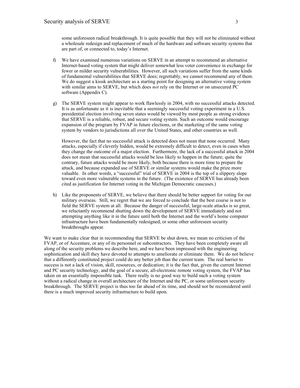some unforeseen radical breakthrough. It is quite possible that they will not be eliminated without a wholesale redesign and replacement of much of the hardware and software security systems that are part of, or connected to, today's Internet.

- f) We have examined numerous variations on SERVE in an attempt to recommend an alternative Internet-based voting system that might deliver somewhat less voter convenience in exchange for fewer or milder security vulnerabilities. However, all such variations suffer from the same kinds of fundamental vulnerabilities that SERVE does; regrettably, we cannot recommend any of them. We do suggest a kiosk architecture as a starting point for designing an alternative voting system with similar aims to SERVE, but which does *not* rely on the Internet or on unsecured PC software (Appendix C).
- g) The SERVE system might appear to work flawlessly in 2004, with no successful attacks detected. It is as unfortunate as it is inevitable that a seemingly successful voting experiment in a U.S. presidential election involving seven states would be viewed by most people as strong evidence that SERVE is a reliable, robust, and secure voting system. Such an outcome would encourage expansion of the program by FVAP in future elections, or the marketing of the same voting system by vendors to jurisdictions all over the United States, and other countries as well.

However, the fact that no successful attack is detected does not mean that none occurred. Many attacks, especially if cleverly hidden, would be extremely difficult to detect, even in cases when they change the outcome of a major election. Furthermore, the lack of a successful attack in 2004 does not mean that successful attacks would be less likely to happen in the future; quite the contrary, future attacks would be more likely, both because there is more time to prepare the attack, and because expanded use of SERVE or similar systems would make the prize more valuable. In other words, a "successful" trial of SERVE in 2004 is the top of a slippery slope toward even more vulnerable systems in the future. (The existence of SERVE has already been cited as justification for Internet voting in the Michigan Democratic caucuses.)

h) Like the proponents of SERVE, we believe that there should be better support for voting for our military overseas. Still, we regret that we are forced to conclude that the best course is not to field the SERVE system at all. Because the danger of successful, large-scale attacks is so great, we reluctantly recommend shutting down the development of SERVE immediately and not attempting anything like it in the future until both the Internet and the world's home computer infrastructure have been fundamentally redesigned, or some other unforeseen security breakthroughs appear.

We want to make clear that in recommending that SERVE be shut down, we mean no criticism of the FVAP, or of Accenture, or any of its personnel or subcontractors. They have been completely aware all along of the security problems we describe here, and we have been impressed with the engineering sophistication and skill they have devoted to attempts to ameliorate or eliminate them. We do not believe that a differently constituted project could do any better job than the current team. The real barrier to success is not a lack of vision, skill, resources, or dedication; it is the fact that, given the current Internet and PC security technology, and the goal of a secure, all-electronic remote voting system, the FVAP has taken on an essentially impossible task. There really is no good way to build such a voting system without a radical change in overall architecture of the Internet and the PC, or some unforeseen security breakthrough. The SERVE project is thus too far ahead of its time, and should not be reconsidered until there is a much improved security infrastructure to build upon.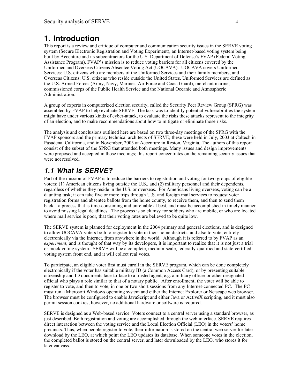# **1. Introduction**

This report is a review and critique of computer and communication security issues in the SERVE voting system (Secure Electronic Registration and Voting Experiment), an Internet-based voting system being built by Accenture and its subcontractors for the U.S. Department of Defense's FVAP (Federal Voting Assistance Program). FVAP's mission is to reduce voting barriers for all citizens covered by the Uniformed and Overseas Citizens Absentee Voting Act (UOCAVA). UOCAVA covers Uniformed Services: U.S. citizens who are members of the Uniformed Services and their family members, and Overseas Citizens: U.S. citizens who reside outside the United States. Uniformed Services are defined as the U.S. Armed Forces (Army, Navy, Marines, Air Force and Coast Guard), merchant marine, commissioned corps of the Public Health Service and the National Oceanic and Atmospheric Administration.

A group of experts in computerized election security, called the Security Peer Review Group (SPRG) was assembled by FVAP to help evaluate SERVE. The task was to identify potential vulnerabilities the system might have under various kinds of cyber-attack, to evaluate the risks these attacks represent to the integrity of an election, and to make recommendations about how to mitigate or eliminate those risks.

The analysis and conclusions outlined here are based on two three-day meetings of the SPRG with the FVAP sponsors and the primary technical architects of SERVE; these were held in July, 2003 at Caltech in Pasadena, California, and in November, 2003 at Accenture in Reston, Virginia. The authors of this report consist of the subset of the SPRG that attended both meetings. Many issues and design improvements were proposed and accepted in those meetings; this report concentrates on the remaining security issues that were not resolved.

### **1.1 What is SERVE?**

Part of the mission of FVAP is to reduce the barriers to registration and voting for two groups of eligible voters: (1) American citizens living outside the U.S., and (2) military personnel and their dependents, regardless of whether they reside in the U.S. or overseas. For Americans living overseas, voting can be a daunting task; it can take five or more trips through U.S. and foreign mail services to request voter registration forms and absentee ballots from the home county, to receive them, and then to send them back—a process that is time-consuming and unreliable at best, and must be accomplished in timely manner to avoid missing legal deadlines. The process is so clumsy for soldiers who are mobile, or who are located where mail service is poor, that their voting rates are believed to be quite low.

The SERVE system is planned for deployment in the 2004 primary and general elections, and is designed to allow UOCAVA voters both to register to vote in their home districts, and also to vote, entirely electronically via the Internet, from anywhere in the world. Although it is referred to by FVAP as an *experiment*, and is thought of that way by its developers, it is important to realize that it is not just a trial or mock voting system. SERVE will be a complete, medium-scale, federally-qualified and state-certified voting system front end, and it will collect real votes.

To participate, an eligible voter first must enroll in the SERVE program, which can be done completely electronically if the voter has suitable military ID (a Common Access Card), or by presenting suitable citizenship and ID documents face-to-face to a trusted agent, e.g. a military officer or other designated official who plays a role similar to that of a notary public. After enrollment, the voter will be able to register to vote, and then to vote, in one or two short sessions from any Internet-connected PC. The PC must run a Microsoft Windows operating system and either the Internet Explorer or Netscape web browser. The browser must be configured to enable JavaScript and either Java or ActiveX scripting, and it must also permit session cookies; however, no additional hardware or software is required.

SERVE is designed as a Web-based service. Voters connect to a central server using a standard browser, as just described. Both registration and voting are accomplished through the web interface. SERVE requires direct interaction between the voting service and the Local Election Official (LEO) in the voters' home precincts. Thus, when people register to vote, their information is stored on the central web server for later download by the LEO, at which point the LEO updates its database. When someone votes in the election, the completed ballot is stored on the central server, and later downloaded by the LEO, who stores it for later canvass.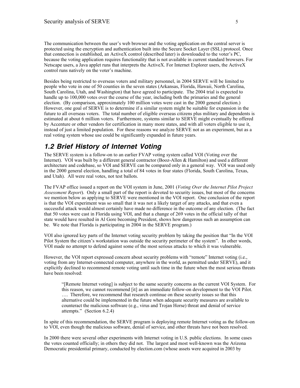The communication between the user's web browser and the voting application on the central server is protected using the encryption and authentication built into the Secure Socket Layer (SSL) protocol. Once that connection is established, an ActiveX control (described later) is downloaded to the voter's PC, because the voting application requires functionality that is not available in current standard browsers. For Netscape users, a Java applet runs that interprets the ActiveX. For Internet Explorer users, the ActiveX control runs natively on the voter's machine.

Besides being restricted to overseas voters and military personnel, in 2004 SERVE will be limited to people who vote in one of 50 counties in the seven states (Arkansas, Florida, Hawaii, North Carolina, South Carolina, Utah, and Washington) that have agreed to participate. The 2004 trial is expected to handle up to 100,000 votes over the course of the year, including both the primaries and the general election. (By comparison, approximately 100 million votes were cast in the 2000 general election.) However, one goal of SERVE is to determine if a similar system might be suitable for expansion in the future to all overseas voters. The total number of eligible overseas citizens plus military and dependents is estimated at about 6 million voters. Furthermore, systems similar to SERVE might eventually be offered by Accenture or other vendors for certification in many more states, and with all voters eligible to use it, instead of just a limited population. For these reasons we analyze SERVE not as an experiment, but as a real voting system whose use could be significantly expanded in future years.

#### **1.2 Brief History of Internet Voting**

The SERVE system is a follow-on to an earlier FVAP voting system called VOI (Voting over the Internet). VOI was built by a different general contractor (Booz-Allen & Hamilton) and used a different architecture and codebase, so VOI and SERVE can be compared only in a general way. VOI was used only in the 2000 general election, handling a total of 84 votes in four states (Florida, South Carolina, Texas, and Utah). All were real votes, not test ballots.

The FVAP office issued a report on the VOI system in June, 2001 (*Voting Over the Internet Pilot Project Assessment Report*). Only a small part of the report is devoted to security issues, but most of the concerns we mention below as applying to SERVE were mentioned in the VOI report. One conclusion of the report is that the VOI experiment was so small that it was not a likely target of any attacks, and that even a successful attack would almost certainly have made no difference in the outcome of any election. (The fact that 50 votes were cast in Florida using VOI, and that a change of 269 votes in the official tally of that state would have resulted in Al Gore becoming President, shows how dangerous such an assumption can be. We note that Florida is participating in 2004 in the SERVE program.)

VOI also ignored key parts of the Internet voting security problem by taking the position that "In the VOI Pilot System the citizen's workstation was outside the security perimeter of the system". In other words, VOI made no attempt to defend against some of the most serious attacks to which it was vulnerable.

However, the VOI report expressed concern about security problems with "remote" Internet voting (i.e., voting from any Internet-connected computer, anywhere in the world, as permitted under SERVE), and it explicitly declined to recommend remote voting until such time in the future when the most serious threats have been resolved:

"[Remote Internet voting] is subject to the same security concerns as the current VOI System. For this reason, we cannot recommend [it] as an immediate follow-on development to the VOI Pilot. …. Therefore, we recommend that research continue on these security issues so that this alternative could be implemented in the future when adequate security measures are available to counteract the malicious software (e.g., virus and Trojan Horse) threat and denial of service attempts." (Section 6.2.4)

In spite of this recommendation, the SERVE program is deploying remote Internet voting as the follow-on to VOI, even though the malicious software, denial of service, and other threats have not been resolved.

In 2000 there were several other experiments with Internet voting in U.S. public elections. In some cases the votes counted officially; in others they did not. The largest and most well-known was the Arizona Democratic presidential primary, conducted by election.com (whose assets were acquired in 2003 by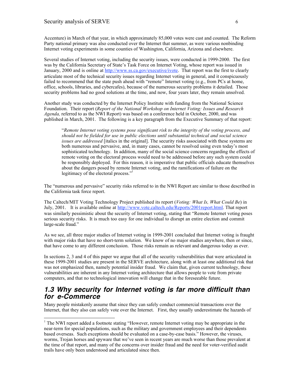Accenture) in March of that year, in which approximately 85,000 votes were cast and counted. The Reform Party national primary was also conducted over the Internet that summer, as were various nonbinding Internet voting experiments in some counties of Washington, California, Arizona and elsewhere.

Several studies of Internet voting, including the security issues, were conducted in 1999-2000. The first was by the California Secretary of State's Task Force on Internet Voting, whose report was issued in January, 2000 and is online at http://www.ss.ca.gov/executive/ivote. That report was the first to clearly articulate most of the technical security issues regarding Internet voting in general, and it conspicuously failed to recommend that the state push ahead with "remote" Internet voting (e.g., from PCs at home, office, schools, libraries, and cybercafes), because of the numerous security problems it detailed. Those security problems had no good solutions at the time, and now, four years later, they remain unsolved.

Another study was conducted by the Internet Policy Institute with funding from the National Science Foundation. Their report (*Report of the National Workshop on Internet Voting: Issues and Research Agenda,* referred to as the NWI Report) was based on a conference held in October, 2000, and was published in March, 2001. The following is a key paragraph from the Executive Summary of that report:

"*Remote Internet voting systems pose significant risk to the integrity of the voting process, and should not be fielded for use in public elections until substantial technical and social science issues are addressed* [italics in the original]. The security risks associated with these systems are both numerous and pervasive, and, in many cases, cannot be resolved using even today's most sophisticated technology.In addition, many of the social science concerns regarding the effects of remote voting on the electoral process would need to be addressed before any such system could be responsibly deployed.For this reason, it is imperative that public officials educate themselves about the dangers posed by remote Internet voting, and the ramifications of failure on the legitimacy of the electoral process."<sup>1</sup>

The "numerous and pervasive" security risks referred to in the NWI Report are similar to those described in the California task force report.

The Caltech/MIT Voting Technology Project published its report (*Voting: What Is, What Could Be*) in July, 2001. It is available online at http://www.vote.caltech.edu/Reports/2001report.html. That report was similarly pessimistic about the security of Internet voting, stating that "Remote Internet voting poses serious security risks. It is much too easy for one individual to disrupt an entire election and commit large-scale fraud."

As we see, all three major studies of Internet voting in 1999-2001 concluded that Internet voting is fraught with major risks that have no short-term solution. We know of no major studies anywhere, then or since, that have come to any different conclusion. Those risks remain as relevant and dangerous today as ever.

In sections 2, 3 and 4 of this paper we argue that all of the security vulnerabilities that were articulated in these 1999-2001 studies are present in the SERVE architecture, along with at least one additional risk that was not emphasized then, namely potential insider fraud. We claim that, given current technology, these vulnerabilities are inherent in any Internet voting architecture that allows people to vote from private computers, and that no technological innovation will change that in the foreseeable future.

#### **1.3 Why security for Internet voting is far more difficult than for e-Commerce**

Many people mistakenly assume that since they can safely conduct commercial transactions over the Internet, that they also can safely vote over the Internet. First, they usually underestimate the hazards of

<sup>&</sup>lt;sup>1</sup> The NWI report added a footnote stating "However, remote Internet voting may be appropriate in the near-term for special populations, such as the military and government employees and their dependents based overseas. Such exceptions should be evaluated on a case-by-case basis." However, the viruses, worms, Trojan horses and spyware that we've seen in recent years are much worse than those prevalent at the time of that report, and many of the concerns over insider fraud and the need for voter-verified audit trails have only been understood and articulated since then.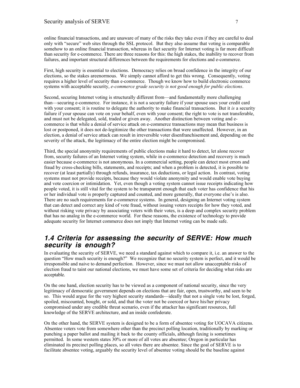online financial transactions, and are unaware of many of the risks they take even if they are careful to deal only with "secure" web sites through the SSL protocol. But they also assume that voting is comparable somehow to an online financial transaction, whereas in fact security for Internet voting is far more difficult than security for e-commerce. There are three reasons for this: the high stakes, the inability to recover from failures, and important structural differences between the requirements for elections and e-commerce.

First, high security is essential to elections. Democracy relies on broad confidence in the integrity of our elections, so the stakes areenormous. We simply cannot afford to get this wrong. Consequently, voting requires a higher level of security than e-commerce. Though we know how to build electronic commerce systems with acceptable security, *e-commerce grade security is not good enough for public elections*.

Second, securing Internet voting is structurally different from—and fundamentally more challenging than—securing e-commerce. For instance, it is not a security failure if your spouse uses your credit card with your consent; it is routine to delegate the authority to make financial transactions. But it *is* a security failure if your spouse can vote on your behalf, even with your consent; the right to vote is not transferable, and must not be delegated, sold, traded or given away. Another distinction between voting and ecommerce is that while a denial of service attack on e-commerce transactions may mean that business is lost or postponed, it does not de-legitimize the other transactions that were unaffected. However, in an election, a denial of service attack can result in irreversible voter disenfranchisement and, depending on the severity of the attack, the legitimacy of the entire election might be compromised.

Third, the special anonymity requirements of public elections make it hard to detect, let alone recover from, security failures of an Internet voting system, while in e-commerce detection and recovery is much easier because e-commerce is not anonymous. In a commercial setting, people can detect most errors and fraud by cross-checking bills, statements, and receipts; and when a problem is detected, it is possible to recover (at least partially) through refunds, insurance, tax deductions, or legal action. In contrast, voting systems must not provide receipts, because they would violate anonymity and would enable vote buying and vote coercion or intimidation. Yet, even though a voting system cannot issue receipts indicating how people voted, it is still vital for the system to be transparent enough that each voter has confidence that his or her individual vote is properly captured and counted, and more generally, that everyone else's is also. There are no such requirements for e-commerce systems. In general, designing an Internet voting system that can detect and correct any kind of vote fraud, without issuing voters receipts for how they voted, and without risking vote privacy by associating voters with their votes, is a deep and complex security problem that has no analog in the e-commerce world. For these reasons, the existence of technology to provide adequate security for Internet commerce does not imply that Internet voting can be made safe.

#### **1.4 Criteria for assessing the security of SERVE: How much security is enough?**

In evaluating the security of SERVE, we need a standard against which to compare it, i.e. an answer to the question "How much security is enough?" We recognize that no security system is perfect, and it would be irresponsible and naive to demand perfection. However, since we must not allow unacceptable risks of election fraud to taint our national elections, we must have some set of criteria for deciding what risks are acceptable.

On the one hand, election security has to be viewed as a component of national security, since the very legitimacy of democratic government depends on elections that are fair, open, trustworthy, and seen to be so. This would argue for the very highest security standards—ideally that not a single vote be lost, forged, spoiled, miscounted, bought, or sold, and that the voter not be coerced or have his/her privacy compromised under any credible threat scenario, even if the attacker has significant resources, full knowledge of the SERVE architecture, and an inside confederate.

On the other hand, the SERVE system is designed to be a form of absentee voting for UOCAVA citizens. Absentee voters vote from somewhere other than the precinct polling location, traditionally by marking or punching a paper ballot and mailing it back to the county officials, although faxing is sometimes permitted. In some western states 30% or more of all votes are absentee; Oregon in particular has eliminated its precinct polling places, so all votes there are absentee. Since the goal of SERVE is to facilitate absentee voting, arguably the security level of absentee voting should be the baseline against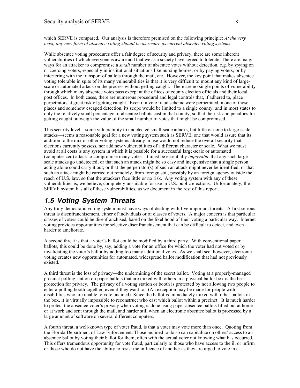which SERVE is compared. Our analysis is therefore premised on the following principle: *At the very least, any new form of absentee voting should be as secure as current absentee voting systems.*

While absentee voting procedures offer a fair degree of security and privacy, there are some inherent vulnerabilities of which everyone is aware and that we as a society have agreed to tolerate. There are many ways for an attacker to compromise a *small* number of absentee votes without detection, e.g. by spying on or coercing voters, especially in institutional situations like nursing homes; or by paying voters; or by interfering with the transport of ballots through the mail, etc. However, the key point that makes absentee voting tolerable in spite of its many vulnerabilities is that it is very difficult to mount any kind of largescale or automated attack on the process without getting caught. There are no single points of vulnerability through which many absentee votes pass except at the offices of county election officials and their local post offices. In both cases, there are numerous procedural and legal controls that, if adhered to, place perpetrators at great risk of getting caught. Even if a vote fraud scheme were perpetrated in one of those places and somehow escaped detection, its scope would be limited to a single county, and in most states to only the relatively small percentage of absentee ballots cast in that county, so that the risk and penalties for getting caught outweigh the value of the small number of votes that might be compromised.

This security level—some vulnerability to undetected small-scale attacks, but little or none to large-scale attacks—seems a reasonable goal for a new voting system such as SERVE, one that would assure that its addition to the mix of other voting systems already in use would not reduce the overall security that elections currently possess, nor add new vulnerabilities of a different character or scale. What we must avoid at all costs is any system in which it is possible for a successful large-scale or automated (computerized) attack to compromise many votes. It must be essentially *impossible* that any such largescale attacks go undetected; or that such an attack might be so easy and inexpensive that a single person acting alone could carry it out; or that the perpetrator(s) of such an attack might never be identified; or that such an attack might be carried out remotely, from foreign soil, possibly by an foreign agency outside the reach of U.S. law, so that the attackers face little or no risk. Any voting system with any of these vulnerabilities is, we believe, completely unsuitable for use in U.S. public elections. Unfortunately, the SERVE system has all of these vulnerabilities, as we document in the rest of this report.

### **1.5 Voting System Threats**

Any truly democratic voting system must have ways of dealing with five important threats. A first serious threat is disenfranchisement, either of individuals or of classes of voters. A major concern is that particular classes of voters could be disenfranchised, based on the likelihood of their voting a particular way. Internet voting provides opportunities for selective disenfranchisement that can be difficult to detect, and even harder to ameliorate.

A second threat is that a voter's ballot could be modified by a third party. With conventional paper ballots, this could be done by, say, adding a vote for an office for which the voter had not voted or by invalidating the voter's ballot by adding too many additional votes. As we shall see, however, electronic voting creates new opportunities for automated, widespread ballot modification that had not previously existed.

A third threat is the loss of privacy—the undermining of the secret ballot. Voting at a properly-managed precinct polling station on paper ballots that are mixed with others in a physical ballot box is the best protection for privacy. The privacy of a voting station or booth is protected by not allowing two people to enter a polling booth together, even if they want to. (An exception may be made for people with disabilities who are unable to vote unaided). Since the ballot is immediately mixed with other ballots in the box, it is virtually impossible to reconstruct who cast which ballot within a precinct. It is much harder to protect the absentee voter's privacy when voting is done using paper absentee ballots filled out at home or at work and sent through the mail, and harder still when an electronic absentee ballot is processed by a large amount of software on several different computers.

A fourth threat, a well-known type of voter fraud, is that a voter may vote more than once. Quoting from the Florida Department of Law Enforcement: Those inclined to do so can capitalize on others' access to an absentee ballot by voting their ballot for them, often with the actual voter not knowing what has occurred. This offers tremendous opportunity for vote fraud, particularly to those who have access to the ill or infirm or those who do not have the ability to resist the influence of another as they are urged to vote in a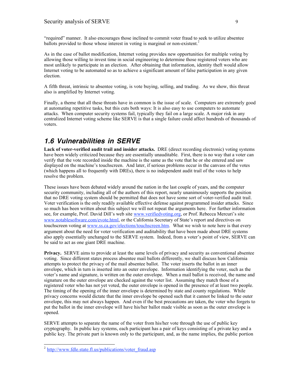"required" manner. It also encourages those inclined to commit voter fraud to seek to utilize absentee ballots provided to those whose interest in voting is marginal or non-existent.<sup>2</sup>

As in the case of ballot modification, Internet voting provides new opportunities for multiple voting by allowing those willing to invest time in social engineering to determine those registered voters who are most unlikely to participate in an election. After obtaining that information, identity theft would allow Internet voting to be automated so as to achieve a significant amount of false participation in any given election.

A fifth threat, intrinsic to absentee voting, is vote buying, selling, and trading. As we show, this threat also is amplified by Internet voting.

Finally, a theme that all these threats have in common is the issue of scale. Computers are extremely good at automating repetitive tasks, but this cuts both ways: It is also easy to use computers to automate attacks. When computer security systems fail, typically they fail on a large scale. A major risk in any centralized Internet voting scheme like SERVE is that a single failure could affect hundreds of thousands of voters.

### **1.6 Vulnerabilities in SERVE**

**Lack of voter-verified audit trail and insider attacks.** DRE (direct recording electronic) voting systems have been widely criticized because they are essentially unauditable. First, there is no way that a voter can verify that the vote recorded inside the machine is the same as the vote that he or she entered and saw displayed on the machine's touchscreen. And later, if serious problems occur in the canvass of the votes (which happens all to frequently with DREs), there is no independent audit trail of the votes to help resolve the problem.

These issues have been debated widely around the nation in the last couple of years, and the computer security community, including all of the authors of this report, nearly unanimously supports the position that no DRE voting system should be permitted that does not have some sort of voter-verified audit trail. Voter verification is the only readily available effective defense against programmed insider attacks. Since so much has been written about this subject we will not repeat the arguments here. For further information see, for example, Prof. David Dill's web site www.verifiedvoting.org, or Prof. Rebecca Mercuri's site www.notablesoftware.com/evote.html, or the California Secretary of State's report and directives on touchscreen voting at www.ss.ca.gov/elections/touchscreen.htm. What we wish to note here is that every argument about the need for voter verification and auditability that have been made about DRE systems also apply essentially unchanged to the SERVE system. Indeed, from a voter's point of view, SERVE can be said to act as one giant DRE machine.

**Privacy.** SERVE aims to provide at least the same levels of privacy and security as conventional absentee voting. Since different states process absentee mail ballots differently, we shall discuss how California attempts to protect the privacy of the mail absentee ballot. The voter inserts the ballot in an inner envelope, which in turn is inserted into an outer envelope. Information identifying the voter, such as the voter's name and signature, is written on the outer envelope. When a mail ballot is received, the name and signature on the outer envelope are checked against the voter list. Assuming they match those of a registered voter who has not yet voted, the outer envelope is opened in the presence of at least two people. The timing of the opening of the inner envelope is determined by state and county regulations. While privacy concerns would dictate that the inner envelope be opened such that it cannot be linked to the outer envelope, this may not always happen. And even if the best precautions are taken, the voter who forgets to put the ballot in the inner envelope will have his/her ballot made visible as soon as the outer envelope is opened.

SERVE attempts to separate the name of the voter from his/her vote through the use of public key cryptography. In public key systems, each participant has a pair of keys consisting of a private key and a public key. The private part is known only to the participant, and, as the name implies, the public portion

 $\overline{a}$ 

<sup>&</sup>lt;sup>2</sup> http://www.fdle.state.fl.us/publications/voter\_fraud.asp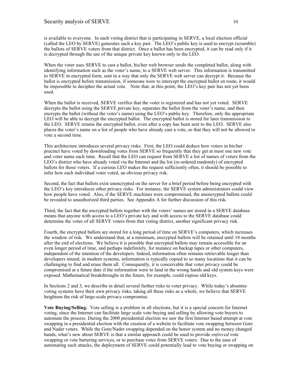is available to everyone. In each voting district that is participating in SERVE, a local election official (called the LEO by SERVE) generates such a key pair. The LEO's public key is used to encrypt (scramble) the ballots of SERVE voters from that district. Once a ballot has been encrypted, it can be read only if it is decrypted through the use of the unique private key known only to the LEO.

When the voter uses SERVE to cast a ballot, his/her web browser sends the completed ballot, along with identifying information such as the voter's name, to a SERVE web server. This information is transmitted to SERVE in encrypted form, sent in a way that only the SERVE web server can decrypt it. Because the ballot is encrypted before transmission, if someone were to intercept the encrypted ballot en route, it would be impossible to decipher the actual vote. Note that, at this point, the LEO's key pair has not yet been used.

When the ballot is received, SERVE verifies that the voter is registered and has not yet voted. SERVE decrypts the ballot using the SERVE private key, separates the ballot from the voter's name, and then encrypts the ballot (without the voter's name) using the LEO's public key. Therefore, only the appropriate LEO will be able to decrypt the encrypted ballot. The encrypted ballot is stored for later transmission to the LEO. SERVE retains the encrypted ballot, even after a copy has been sent to the LEO. SERVE also places the voter's name on a list of people who have already cast a vote, so that they will not be allowed to vote a second time.

This architecture introduces several privacy risks. First, the LEO could deduce how voters in his/her precinct have voted by downloading votes from SERVE so frequently that they get at most one new vote and voter name each time. Recall that the LEO can request from SERVE a list of names of voters from the LEO's district who have already voted via the Internet and the list (re-ordered randomly) of encrypted ballots for those voters. If a curious LEO makes the request sufficiently often, it should be possible to infer how each individual voter voted, an obvious privacy risk.

Second, the fact that ballots exist unencrypted on the server for a brief period before being encrypted with the LEO's key introduces other privacy risks. For instance, the SERVE system administrators could view how people have voted. Also, if the SERVE machines were compromised, the unencrypted ballots could be revealed to unauthorized third parties. See Appendix A for further discussion of this risk.

Third, the fact that the encrypted ballots together with the voters' names are stored in a SERVE database means that anyone with access to a LEO's private key and with access to the SERVE database could determine the votes of all SERVE voters from that voting district, another significant privacy risk.

Fourth, the encrypted ballots are stored for a long period of time on SERVE's computers, which increases the window of risk. We understand that, at a minimum, encrypted ballots will be retained until 18 months after the end of elections. We believe it is possible that encrypted ballots may remain accessible for an even longer period of time, and perhaps indefinitely, for instance on backup tapes or other computers, independent of the intention of the developers. Indeed, information often remains retrievable longer than developers intend; in modern systems, information is typically copied to so many locations that it can be challenging to find and erase them all. Consequently, it is conceivable that voter privacy could be compromised at a future date if the information were to land in the wrong hands and old system keys were exposed. Mathematical breakthroughs in the future, for example, could expose old keys.

In Sections 2 and 3, we describe in detail several further risks to voter privacy. While today's absentee voting systems have their own privacy risks, taking all these risks as a whole, we believe that SERVE heightens the risk of large-scale privacy compromise.

**Vote Buying/Selling.** Vote selling is a problem in all elections, but it is a special concern for Internet voting, since the Internet can facilitate large scale vote buying and selling by allowing vote buyers to automate the process. During the 2000 presidential election we saw the first Internet based attempt at vote swapping in a presidential election with the creation of a website to facilitate vote swapping between Gore and Nader voters. While the Gore/Nader swapping depended on the honor system and no money changed hands, what's new about SERVE is that a similar approach could be used to provide *enforced* vote swapping or vote bartering services, or to purchase votes from SERVE voters. Due to the ease of automating such attacks, the deployment of SERVE could potentially lead to vote buying or swapping on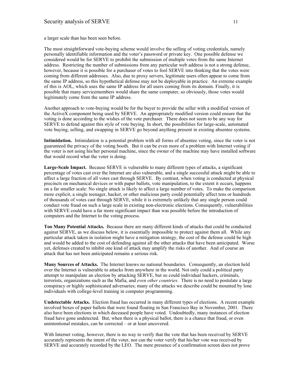a larger scale than has been seen before.

The most straightforward vote-buying scheme would involve the selling of voting credentials, namely personally identifiable information and the voter's password or private key. One possible defense we considered would be for SERVE to prohibit the submission of multiple votes from the same Internet address. Restricting the number of submissions from any particular web address is not a strong defense, however, because it is possible for a purchaser of votes to fool SERVE into thinking that the votes were coming from different addresses. Also, due to proxy servers, legitimate users often appear to come from the same IP address, so this hypothetical defense may not be deployable in practice. An extreme example of this is AOL, which uses the same IP address for all users coming from its domain. Finally, it is possible that many servicemembers would share the same computer, so obviously, those votes would legitimately come from the same IP address.

Another approach to vote-buying would be for the buyer to provide the seller with a modified version of the ActiveX component being used by SERVE. An appropriately modified version could ensure that the voting is done according to the wishes of the vote purchaser. There does not seem to be any way for SERVE to defend against this style of vote buying. In short, the possibilities for large-scale, automated vote buying, selling, and swapping in SERVE go beyond anything present in existing absentee systems.

**Intimidation.** Intimidation is a potential problem with all forms of absentee voting, since the voter is not guaranteed the privacy of the voting booth. But it can be even more of a problem with Internet voting if the voter is not using his/her personal machine, since the owner of the machine may have installed software that would record what the voter is doing.

**Large-Scale Impact.** Because SERVE is vulnerable to many different types of attacks, a significant percentage of votes cast over the Internet are also vulnerable, and a single successful attack might be able to affect a large fraction of all votes cast through SERVE. By contrast, when voting is conducted at physical precincts on mechanical devices or with paper ballots, vote manipulation, to the extent it occurs, happens on a far smaller scale: No single attack is likely to affect a large number of votes. To make the comparison more explicit, a single teenager, hacker, or other malicious party could potentially affect tens or hundreds of thousands of votes cast through SERVE, while it is extremely unlikely that any single person could conduct vote fraud on such a large scale in existing non-electronic elections. Consequently, vulnerabilities with SERVE could have a far more significant impact than was possible before the introduction of computers and the Internet to the voting process.

**Too Many Potential Attacks.** Because there are many different kinds of attacks that could be conducted against SERVE, as we discuss below, it is essentially impossible to protect against them all. While any particular attack taken in isolation might have a mitigation strategy, the cost of the defense could be high and would be added to the cost of defending against all the other attacks that have been anticipated. Worse yet, defenses created to inhibit one kind of attack may amplify the risks of another. And of course an attack that has not been anticipated remains a serious risk.

**Many Sources of Attacks.** The Internet knows no national boundaries. Consequently, an election held over the Internet is vulnerable to attacks from anywhere in the world. Not only could a political party attempt to manipulate an election by attacking SERVE, but so could individual hackers, criminals, terrorists, organizations such as the Mafia, and *even other countries.* There is no need to postulate a large conspiracy or highly sophisticated adversaries; many of the attacks we describe could be mounted by lone individuals with college-level training in computer programming.

**Undetectable Attacks.** Election fraud has occurred in many different types of elections. A recent example involved boxes of paper ballots that were found floating in San Francisco Bay in November, 2001. There also have been elections in which deceased people have voted. Undoubtedly, many instances of election fraud have gone undetected. But, when there is a physical ballot, there is a chance that fraud, or even unintentional mistakes, can be corrected – or at least uncovered.

With Internet voting, however, there is no way to verify that the vote that has been received by SERVE accurately represents the intent of the voter, nor can the voter verify that his/her vote was received by SERVE and accurately recorded by the LEO. The mere presence of a confirmation screen does not prove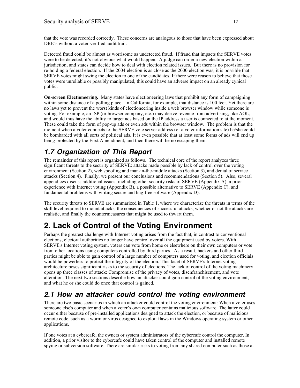that the vote was recorded correctly. These concerns are analogous to those that have been expressed about DRE's without a voter-verified audit trail.

Detected fraud could be almost as worrisome as undetected fraud. If fraud that impacts the SERVE votes were to be detected, it's not obvious what would happen. A judge can order a new election within a jurisdiction, and states can decide how to deal with election related issues. But there is no provision for re-holding a federal election. If the 2004 election is as close as the 2000 election was, it is possible that SERVE votes might swing the election to one of the candidates. If there were reason to believe that those votes were unreliable or possibly manipulated, this could have an adverse impact on an already cynical public.

**On-screen Electioneering.** Many states have electioneering laws that prohibit any form of campaigning within some distance of a polling place. In California, for example, that distance is 100 feet. Yet there are no laws yet to prevent the worst kinds of electioneering inside a web browser window while someone is voting. For example, an ISP (or browser company, etc.) may derive revenue from advertising, like AOL, and would thus have the ability to target ads based on the IP address a user is connected to at the moment. These could take the form of pop-up ads or even ads within the browser window. The problem is that the moment when a voter connects to the SERVE vote server address (or a voter information site) he/she could be bombarded with all sorts of political ads. It is even possible that at least some forms of ads will end up being protected by the First Amendment, and then there will be no escaping them.

### **1.7 Organization of This Report**

The remainder of this report is organized as follows. The technical core of the report analyzes three significant threats to the security of SERVE: attacks made possible by lack of control over the voting environment (Section 2), web spoofing and man-in-the-middle attacks (Section 3), and denial of service attacks (Section 4). Finally, we present our conclusions and recommendations (Section 5). Also, several appendices discuss additional issues, including other security risks of SERVE (Appendix A), a prior experience with Internet voting (Appendix B), a possible alternative to SERVE (Appendix C), and fundamental problems with writing secure and bug-free software (Appendix D).

The security threats to SERVE are summarized in Table 1, where we characterize the threats in terms of the skill level required to mount attacks, the consequences of successful attacks, whether or not the attacks are realistic, and finally the countermeasures that might be used to thwart them.

# **2. Lack of Control of the Voting Environment**

Perhaps the greatest challenge with Internet voting arises from the fact that, in contrast to conventional elections, electoral authorities no longer have control over all the equipment used by voters. With SERVE's Internet voting system, voters can vote from home or elsewhere on their own computers or vote from other locations using computers controlled by third parties. As a result, hackers and other third parties might be able to gain control of a large number of computers used for voting, and election officials would be powerless to protect the integrity of the election. This facet of SERVE's Internet voting architecture poses significant risks to the security of elections. The lack of control of the voting machinery opens up three classes of attack: Compromise of the privacy of votes, disenfranchisement, and vote alteration. The next two sections describe how an attacker could gain control of the voting environment, and what he or she could do once that control is gained.

### **2.1 How an attacker could control the voting environment**

There are two basic scenarios in which an attacker could control the voting environment: When a voter uses someone else's computer and when a voter's own computer contains malicious software. The latter could occur either because of pre-installed applications designed to attack the election, or because of malicious remote code, such as a worm or virus designed to exploit flaws in the Windows operating system or other applications.

If one votes at a cybercafe, the owners or system administrators of the cybercafe control the computer. In addition, a prior visitor to the cybercafe could have taken control of the computer and installed remote spying or subversion software. There are similar risks to voting from any shared computer such as those at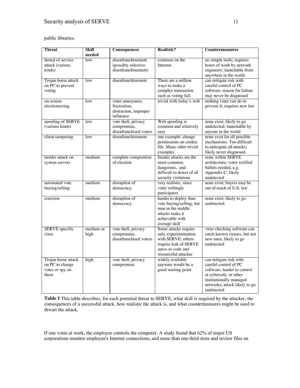public libraries.

| <b>Threat</b>       | <b>Skill</b>            | Consequences                                 | <b>Realistic?</b>                   | <b>Countermeasures</b>                       |
|---------------------|-------------------------|----------------------------------------------|-------------------------------------|----------------------------------------------|
|                     | needed                  |                                              |                                     |                                              |
| denial of service   | low                     | disenfranchisement                           | common on the                       | no simple tools; requires                    |
| attack (various     |                         | (possibly selective                          | Internet                            | hours of work by network                     |
| kinds)              |                         | disenfranchisement)                          |                                     | engineers; launchable from                   |
|                     |                         |                                              |                                     | anywhere in the world                        |
| Trojan horse attack | low                     | disenfranchisement                           | There are a million                 | can mitigate risk with                       |
| on PC to prevent    |                         |                                              | ways to make a                      | careful control of PC                        |
| voting              |                         |                                              | complex transaction                 | software; reason for failure                 |
|                     |                         |                                              | such as voting fail.                | may never be diagnosed                       |
| on-screen           | low                     | voter annoyance,                             | trivial with today's web            | nothing voter can do to                      |
| electioneering      |                         | frustration,                                 |                                     | prevent it; requires new law                 |
|                     |                         | distraction, improper                        |                                     |                                              |
|                     |                         | influence                                    |                                     |                                              |
| spoofing of SERVE   | $\overline{\text{low}}$ | vote theft, privacy                          | Web spoofing is                     | none exist; likely to go                     |
| (various kinds)     |                         | compromise,                                  | common and relatively               | undetected; launchable by                    |
|                     |                         | disenfranchised voters<br>disenfranchisement | easy                                | anyone in the world                          |
| client tampering    | $\overline{\text{low}}$ |                                              | one example: change                 | none exist for all possible                  |
|                     |                         |                                              | permissions on cookie               | mechanisms. Too difficult                    |
|                     |                         |                                              | file. Many other trivial            | to anticipate all attacks;                   |
| insider attack on   | medium                  | complete compromise                          | examples<br>Insider attacks are the | likely never diagnosed.<br>none within SERVE |
|                     |                         | of election                                  | most common,                        | architecture; voter verified                 |
| system servers      |                         |                                              | dangerous, and                      | ballots needed, e.g.                         |
|                     |                         |                                              | difficult to detect of all          | Appendix C; likely                           |
|                     |                         |                                              | security violations                 | undetected                                   |
| automated vote      | medium                  | disruption of                                | very realistic, since               | none exist; buyers may be                    |
| buying/selling      |                         | democracy                                    | voter willingly                     | out of reach of U.S. law                     |
|                     |                         |                                              | participates                        |                                              |
| coercion            | medium                  | disruption of                                | harder to deploy than               | none exist; likely to go                     |
|                     |                         | democracy                                    | vote buying/selling, but            | undetected.                                  |
|                     |                         |                                              | man in the middle                   |                                              |
|                     |                         |                                              | attacks make it                     |                                              |
|                     |                         |                                              | achievable with                     |                                              |
|                     |                         |                                              | average skill                       |                                              |
| SERVE-specific      | medium or               | vote theft, privacy                          | Some attacks require                | virus checking software can                  |
| virus               | high                    | compromise,                                  | only experimentation                | catch known viruses, but not                 |
|                     |                         | disenfranchised voters                       | with SERVE; others                  | new ones; likely to go                       |
|                     |                         |                                              | require leak of SERVE               | undetected                                   |
|                     |                         |                                              | specs or code and                   |                                              |
|                     |                         |                                              | resourceful attacker                |                                              |
| Trojan horse attack | high                    | vote theft, privacy                          | widely available                    | can mitigate risk with                       |
| on PC to change     |                         | compromise                                   | spyware would be a                  | careful control of PC                        |
| votes or spy on     |                         |                                              | good starting point                 | software; harder to control                  |
| them                |                         |                                              |                                     | at cybercafe, or other                       |
|                     |                         |                                              |                                     | institutionally managed                      |
|                     |                         |                                              |                                     | networks; attack likely to go                |
|                     |                         |                                              |                                     | undetected                                   |

**Table 1** This table describes, for each potential threat to SERVE, what skill is required by the attacker, the consequences of a successful attack, how realistic the attack is, and what countermeasures might be used to thwart the attack.

If one votes at work, the employer controls the computer. A study found that 62% of major US corporations monitor employee's Internet connections, and more than one-third store and review files on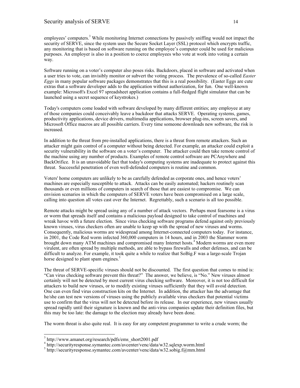employees' computers.<sup>3</sup> While monitoring Internet connections by passively sniffing would not impact the security of SERVE, since the system uses the Secure Socket Layer (SSL) protocol which encrypts traffic, any monitoring that is based on software running on the employee's computer could be used for malicious purposes. An employer is also in a position to coerce employees who vote at work into voting a certain way.

Software running on a voter's computer also poses risks. Backdoors, placed in software and activated when a user tries to vote, can invisibly monitor or subvert the voting process. The prevalence of so-called *Easter Eggs* in many popular software packages demonstrates that this is a real possibility. (Easter Eggs are cute extras that a software developer adds to the application without authorization, for fun. One well-known example: Microsoft's Excel 97 spreadsheet application contains a full-fledged flight simulator that can be launched using a secret sequence of keystrokes.)

Today's computers come loaded with software developed by many different entities; any employee at any of those companies could conceivably leave a backdoor that attacks SERVE. Operating systems, games, productivity applications, device drivers, multimedia applications, browser plug-ins, screen savers, and Microsoft Office macros are all possible carriers. Every time someone downloads new software, the risk is increased.

In addition to the threat from pre-installed applications, there is a threat from remote attackers. Such an attacker might gain control of a computer without being detected. For example, an attacker could exploit a security vulnerability in the software on a voter's computer. The attacker could then take remote control of the machine using any number of products. Examples of remote control software are PCAnywhere and BackOrifice. It is an unavoidable fact that today's computing systems are inadequate to protect against this threat. Successful penetration of even well-defended computers is routine and common.

Voters' home computers are unlikely to be as carefully defended as corporate ones, and hence voters' machines are especially susceptible to attack. Attacks can be easily automated; hackers routinely scan thousands or even millions of computers in search of those that are easiest to compromise. We can envision scenarios in which the computers of SERVE voters have been compromised on a large scale, calling into question all votes cast over the Internet. Regrettably, such a scenario is all too possible.

Remote attacks might be spread using any of a number of attack vectors. Perhaps most fearsome is a virus or worm that spreads itself and contains a malicious payload designed to take control of machines and wreak havoc with a future election. Since virus checking software programs defend against only previously known viruses, virus checkers often are unable to keep up with the spread of new viruses and worms. Consequently, malicious worms are widespread among Internet-connected computers today. For instance, in 2001, the Code Red worm infected 360,000 computers in 14 hours, and in 2003 the Slammer worm brought down many ATM machines and compromised many Internet hosts.<sup>4</sup> Modern worms are even more virulent, are often spread by multiple methods, are able to bypass firewalls and other defenses, and can be difficult to analyze. For example, it took quite a while to realize that SoBig.F was a large-scale Trojan horse designed to plant spam engines.<sup>5</sup>

The threat of SERVE-specific viruses should not be discounted. The first question that comes to mind is: "Can virus checking software prevent this threat?" The answer, we believe, is "No." New viruses almost certainly will not be detected by most current virus checking software. Moreover, it is not too difficult for attackers to build new viruses, or to modify existing viruses sufficiently that they will avoid detection. One can even find virus construction kits on the Internet. In addition, the attacker has the advantage that he/she can test new versions of viruses using the publicly available virus checkers that potential victims use to confirm that the virus will not be detected before its release. In our experience, new viruses usually spread rapidly until their signature is known and the anti-virus companies update their definition files, but this may be too late: the damage to the election may already have been done.

The worm threat is also quite real. It is easy for any competent programmer to write a crude worm; the

 $\overline{a}$ 

<sup>3</sup> http://www.amanet.org/research/pdfs/ems\_short2001.pdf

<sup>4</sup> http://securityresponse.symantec.com/avcenter/venc/data/w32.sqlexp.worm.html

<sup>&</sup>lt;sup>5</sup> http://securityresponse.symantec.com/avcenter/venc/data/w32.sobig.f@mm.html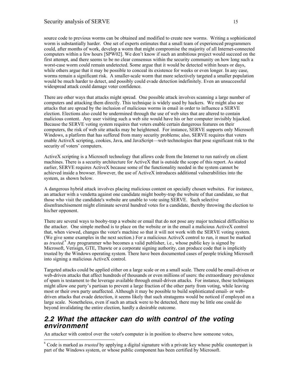source code to previous worms can be obtained and modified to create new worms. Writing a sophisticated worm is substantially harder. One set of experts estimates that a small team of experienced programmers could, after months of work, develop a worm that might compromise the majority of all Internet-connected computers within a few hours [SPW02]. We don't know if such an ambitious project would succeed on the first attempt, and there seems to be no clear consensus within the security community on how long such a worst-case worm could remain undetected. Some argue that it would be detected within hours or days, while others argue that it may be possible to conceal its existence for weeks or even longer. In any case, worms remain a significant risk. A smaller-scale worm that more selectively targeted a smaller population would be much harder to detect, and possibly could evade detection indefinitely. Even an unsuccessful widespread attack could damage voter confidence.

There are other ways that attacks might spread. One possible attack involves scanning a large number of computers and attacking them directly. This technique is widely used by hackers. We might also see attacks that are spread by the inclusion of malicious worms in email in order to influence a SERVE election. Elections also could be undermined through the use of web sites that are altered to contain malicious content. Any user visiting such a web site would have his or her computer invisibly hijacked. Because the SERVE voting system requires that voters enable certain dangerous features on their computers, the risk of web site attacks may be heightened. For instance, SERVE supports only Microsoft Windows, a platform that has suffered from many security problems; also, SERVE requires that voters enable ActiveX scripting, cookies, Java, and JavaScript—web technologies that pose significant risk to the security of voters' computers.

ActiveX scripting is a Microsoft technology that allows code from the Internet to run natively on client machines. There is a security architecture for ActiveX that is outside the scope of this report. As stated earlier, SERVE requires ActiveX because some of the functionality needed in the system cannot be achieved inside a browser. However, the use of ActiveX introduces additional vulnerabilities into the system, as shown below.

A dangerous hybrid attack involves placing malicious content on specially chosen websites. For instance, an attacker with a vendetta against one candidate might booby-trap the website of that candidate, so that those who visit the candidate's website are unable to vote using SERVE. Such selective disenfranchisement might eliminate several hundred votes for a candidate, thereby throwing the election to his/her opponent.

There are several ways to booby-trap a website or email that do not pose any major technical difficulties to the attacker. One simple method is to place on the website or in the email a malicious ActiveX control that, when viewed, changes the voter's machine so that it will not work with the SERVE voting system. (We give some examples in the next section.) For a malicious ActiveX control to run, it must be marked as *trusted.*<sup>6</sup> Any programmer who becomes a valid publisher, i.e., whose public key is signed by Microsoft, Verisign, GTE, Thawte or a corporate signing authority, can produce code that is implicitly trusted by the Windows operating system. There have been documented cases of people tricking Microsoft into signing a malicious ActiveX control.

Targeted attacks could be applied either on a large scale or on a small scale. There could be email-driven or web-driven attacks that affect hundreds of thousands or even millions of users: the extraordinary prevalence of spam is testament to the leverage available through email-driven attacks. For instance, these techniques might allow one party's partisan to prevent a large fraction of the other party from voting, while leaving most or their own party unaffected. Although it may be possible to build sophisticated email- or webdriven attacks that evade detection, it seems likely that such stratagems would be noticed if employed on a large scale. Nonetheless, even if such an attack were to be detected, there may be little one could do beyond invalidating the entire election, hardly a desirable outcome.

#### **2.2 What the attacker can do with control of the voting environment**

An attacker with control over the voter's computer is in position to observe how someone votes,

 $\overline{a}$ 

<sup>6</sup> Code is marked as *trusted* by applying a digital signature with a private key whose public counterpart is part of the Windows system, or whose public component has been certified by Microsoft.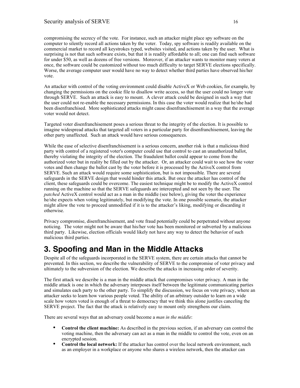compromising the secrecy of the vote. For instance, such an attacker might place spy software on the computer to silently record all actions taken by the voter. Today, spy software is readily available on the commercial market to record all keystrokes typed, websites visited, and actions taken by the user. What is surprising is not that such software exists, but that it is readily affordable to all; one can find such software for under \$50, as well as dozens of free versions. Moreover, if an attacker wants to monitor many voters at once, the software could be customized without too much difficulty to target SERVE elections specifically. Worse, the average computer user would have no way to detect whether third parties have observed his/her vote.

An attacker with control of the voting environment could disable ActiveX or Web cookies, for example, by changing the permissions on the cookie file to disallow write access, so that the user could no longer vote through SERVE. Such an attack is easy to mount. A clever attack could be designed in such a way that the user could not re-enable the necessary permissions. In this case the voter would realize that he/she had been disenfranchised. More sophisticated attacks might cause disenfranchisement in a way that the average voter would not detect.

Targeted voter disenfranchisement poses a serious threat to the integrity of the election. It is possible to imagine widespread attacks that targeted all voters in a particular party for disenfranchisement, leaving the other party unaffected. Such an attack would have serious consequences.

While the ease of selective disenfranchisement is a serious concern, another risk is that a malicious third party with control of a registered voter's computer could use that control to cast an unauthorized ballot, thereby violating the integrity of the election. The fraudulent ballot could appear to come from the authorized voter but in reality be filled out by the attacker. Or, an attacker could wait to see how the voter votes and then change the ballot cast by the voter before it is processed by the ActiveX control from SERVE. Such an attack would require some sophistication, but is not impossible. There are several safeguards in the SERVE design that would hinder this attack. But once the attacker has control of the client, these safeguards could be overcome. The easiest technique might be to modify the ActiveX control running on the machine so that the SERVE safeguards are intercepted and not seen by the user. The *patched* ActiveX control would act as a man in the middle (see below), giving the voter the experience he/she expects when voting legitimately, but modifying the vote. In one possible scenario, the attacker might allow the vote to proceed unmodified if it is to the attacker's liking, modifying or discarding it otherwise.

Privacy compromise, disenfranchisement, and vote fraud potentially could be perpetrated without anyone noticing. The voter might not be aware that his/her vote has been monitored or subverted by a malicious third party. Likewise, election officials would likely not have any way to detect the behavior of such malicious third parties.

# **3. Spoofing and Man in the Middle Attacks**

Despite all of the safeguards incorporated in the SERVE system, there are certain attacks that cannot be prevented. In this section, we describe the vulnerability of SERVE to the compromise of voter privacy and ultimately to the subversion of the election. We describe the attacks in increasing order of severity.

The first attack we describe is a man in the middle attack that compromises voter privacy. A man in the middle attack is one in which the adversary interposes itself between the legitimate communicating parties and simulates each party to the other party. To simplify the discussion, we focus on vote privacy, where an attacker seeks to learn how various people voted. The ability of an arbitrary outsider to learn on a wide scale how voters voted is enough of a threat to democracy that we think this alone justifies canceling the SERVE project. The fact that the attack is relatively easy to mount only strengthens our claim.

There are several ways that an adversary could become a *man in the middle*:

- **Control the client machine:** As described in the previous section, if an adversary can control the voting machine, then the adversary can act as a man in the middle to control the vote, even on an encrypted session.
- **Control the local network:** If the attacker has control over the local network environment, such as an employer in a workplace or anyone who shares a wireless network, then the attacker can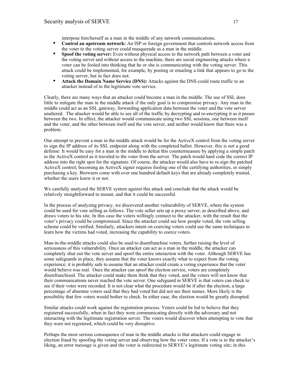interpose him/herself as a man in the middle of any network communications.

- **Control an upstream network:** An ISP or foreign government that controls network access from the voter to the voting server could masquerade as a man in the middle.
- **Spoof the voting server:** Even without physical access to the network path between a voter and the voting server and without access to the machine, there are social engineering attacks where a voter can be fooled into thinking that he or she is communicating with the voting server. This attack could be implemented, for example, by posting or emailing a link that appears to go to the voting server, but in fact does not.
- **Attack the Domain Name Service (DNS):** Attacks against the DNS could route traffic to an attacker instead of to the legitimate vote service.

Clearly, there are many ways that an attacker could become a man in the middle. The use of SSL does little to mitigate the man in the middle attack if the only goal is to compromise privacy. Any man in the middle could act as an SSL gateway, forwarding application data between the voter and the vote server unaltered. The attacker would be able to see all of the traffic by decrypting and re-encrypting it as it passes between the two. In effect, the attacker would communicate using two SSL sessions, one between itself and the voter, and the other between itself and the vote server, and neither would know that there was a problem.

One attempt to prevent a man in the middle attack would be for the ActiveX control from the voting server to sign the IP address of its SSL endpoint along with the completed ballot. However, this is not a good defense: It would be easy for a man in the middle to defeat this countermeasure by applying a simple patch to the ActiveX control as it traveled to the voter from the server. The patch would hard code the correct IP address into the right spot for the signature. Of course, the attacker would also have to re-sign the patched ActiveX control; becoming an ActiveX signer requires fooling one of the certifying authorities, or simply purchasing a key. Browsers come with over one hundred default keys that are already completely trusted, whether the users know it or not.

We carefully analyzed the SERVE system against this attack and conclude that the attack would be relatively straightforward to mount, and that it could be successful.

In the process of analyzing privacy, we discovered another vulnerability of SERVE, where the system could be used for vote selling as follows. The vote seller sets up a proxy server, as described above, and draws voters to his site. In this case the voters willingly connect to the attacker, with the result that the voter's privacy could be compromised. Since the attacker could see how people voted, the vote selling scheme could be verified. Similarly, attackers intent on coercing voters could use the same techniques to learn how the victims had voted, increasing the capability to coerce voters.

Man-in-the-middle attacks could also be used to disenfranchise voters, further raising the level of seriousness of this vulnerability. Once an attacker can act as a man in the middle, the attacker can completely shut out the vote server and spoof the entire interaction with the voter. Although SERVE has some safeguards in place, they assume that the voter knows exactly what to expect from the voting experience; it is probably safe to assume that an attacker could create a voting experience that the voter would believe was real. Once the attacker can spoof the election service, voters are completely disenfranchised. The attacker could make them think that they voted, and the voters will not know that their communications never reached the vote server. One safeguard in SERVE is that voters can check to see if their votes were recorded. It is not clear what the procedure would be if after the election, a large percentage of absentee voters said that they had voted but did not see their names. More likely is the possibility that few voters would bother to check. In either case, the election would be greatly disrupted.

Similar attacks could work against the registration process. Voters could be led to believe that they registered successfully, when in fact they were communicating directly with the adversary and not interacting with the legitimate registration server. The voters would discover when attempting to vote that they were not registered, which could be very disruptive.

Perhaps the most serious consequence of man in the middle attacks is that attackers could engage in election fraud by spoofing the voting server and observing how the voter votes. If a vote is to the attacker's liking, an error message is given and the voter is redirected to SERVE's legitimate voting site; in this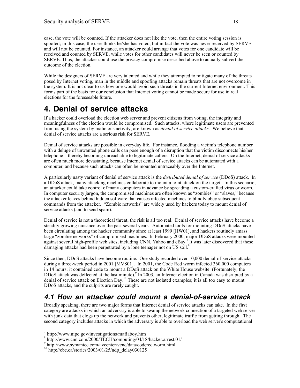case, the vote will be counted. If the attacker does not like the vote, then the entire voting session is spoofed; in this case, the user thinks he/she has voted, but in fact the vote was never received by SERVE and will not be counted. For instance, an attacker could arrange that votes for one candidate will be received and counted by SERVE, while votes for other candidates will never be seen or counted by SERVE. Thus, the attacker could use the privacy compromise described above to actually subvert the outcome of the election.

While the designers of SERVE are very talented and while they attempted to mitigate many of the threats posed by Internet voting, man in the middle and spoofing attacks remain threats that are not overcome in the system. It is not clear to us how one would avoid such threats in the current Internet environment. This forms part of the basis for our conclusion that Internet voting cannot be made secure for use in real elections for the foreseeable future.

# **4. Denial of service attacks**

If a hacker could overload the election web server and prevent citizens from voting, the integrity and meaningfulness of the election would be compromised. Such attacks, where legitimate users are prevented from using the system by malicious activity, are known as *denial of service attacks*. We believe that denial of service attacks are a serious risk for SERVE.

Denial of service attacks are possible in everyday life. For instance, flooding a victim's telephone number with a deluge of unwanted phone calls can pose enough of a disruption that the victim disconnects his/her telephone—thereby becoming unreachable to legitimate callers. On the Internet, denial of service attacks are often much more devastating, because Internet denial of service attacks can be automated with a computer, and because such attacks can often be mounted untraceably over the Internet.

A particularly nasty variant of denial of service attack is the *distributed denial of service* (DDoS) attack. In a DDoS attack, many attacking machines collaborate to mount a joint attack on the target. In this scenario, an attacker could take control of many computers in advance by spreading a custom-crafted virus or worm. In computer security jargon, the compromised machines are often known as "zombies" or "slaves," because the attacker leaves behind hidden software that causes infected machines to blindly obey subsequent commands from the attacker. "Zombie networks" are widely used by hackers today to mount denial of service attacks (and to send spam).

Denial of service is not a theoretical threat; the risk is all too real. Denial of service attacks have become a steadily growing nuisance over the past several years. Automated tools for mounting DDoS attacks have been circulating among the hacker community since at least 1999 [HW01], and hackers routinely amass large "zombie networks" of compromised machines. In February 2000, major DDoS attacks were mounted against several high-profile web sites, including CNN, Yahoo and eBay.<sup>7</sup> It was later discovered that these damaging attacks had been perpetrated by a lone teenager not on US soil.<sup>8</sup>

Since then, DDoS attacks have become routine. One study recorded over 10,000 denial-of-service attacks during a three-week period in 2001 [MVS01]. In 2001, the Code Red worm infected 360,000 computers in 14 hours; it contained code to mount a DDoS attack on the White House website. (Fortunately, the DDoS attack was deflected at the last minute).<sup>9</sup> In 2003, an Internet election in Canada was disrupted by a denial of service attack on Election Day.<sup>10</sup> These are not isolated examples; it is all too easy to mount DDoS attacks, and the culprits are rarely caught.

### **4.1 How an attacker could mount a denial-of-service attack**

Broadly speaking, there are two major forms that Internet denial of service attacks can take. In the first category are attacks in which an adversary is able to swamp the network connection of a targeted web server with junk data that clogs up the network and prevents other, legitimate traffic from getting through. The second category includes attacks in which the adversary is able to overload the web server's computational

 $\overline{a}$ 

 $\alpha$ <sup>7</sup> http://www.nipc.gov/investigations/mafiaboy.htm 8 http://www.cnn.com/2000/TECH/computing/04/18/hacker.arrest.01/

<sup>9</sup> http://www.symantec.com/avcenter/venc/data/codered.worm.html

 $10$  http://cbc.ca/stories/2003/01/25/ndp\_delay030125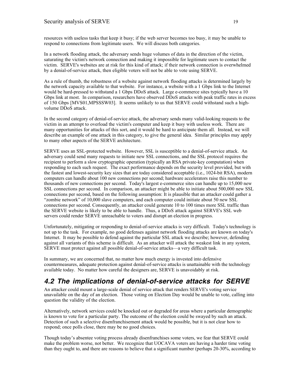resources with useless tasks that keep it busy; if the web server becomes too busy, it may be unable to respond to connections from legitimate users. We will discuss both categories.

In a network flooding attack, the adversary sends huge volumes of data in the direction of the victim, saturating the victim's network connection and making it impossible for legitimate users to contact the victim. SERVE's websites are at risk for this kind of attack; if their network connection is overwhelmed by a denial-of-service attack, then eligible voters will not be able to vote using SERVE.

As a rule of thumb, the robustness of a website against network flooding attacks is determined largely by the network capacity available to that website. For instance, a website with a 1 Gbps link to the Internet would be hard-pressed to withstand a 1 Gbps DDoS attack. Large e-commerce sites typically have a 10 Gbps link at most. In comparison, researchers have observed DDoS attacks with peak traffic rates in excess of 150 Gbps [MVS01,MPSSSW03]. It seems unlikely to us that SERVE could withstand such a highvolume DDoS attack.

In the second category of denial-of-service attack, the adversary sends many valid-looking requests to the victim in an attempt to overload the victim's computer and keep it busy with useless work. There are many opportunities for attacks of this sort, and it would be hard to anticipate them all. Instead, we will describe an example of one attack in this category, to give the general idea. Similar principles may apply to many other aspects of the SERVE architecture.

SERVE uses an SSL-protected website. However, SSL is susceptible to a denial-of-service attack. An adversary could send many requests to initiate new SSL connections, and the SSL protocol requires the recipient to perform a slow cryptographic operation (typically an RSA private-key computation) when responding to each such request. The exact performance depends on the security level provided, but with the fastest and lowest-security key sizes that are today considered acceptable (i.e., 1024-bit RSA), modern computers can handle about 100 new connections per second; hardware accelerators raise this number to thousands of new connections per second. Today's largest e-commerce sites can handle up to 15,000 new SSL connections per second. In comparison, an attacker might be able to initiate about 500,000 new SSL connections per second, based on the following assumption: It is plausible that an attacker could gather a "zombie network" of 10,000 slave computers, and each computer could initiate about 50 new SSL connections per second. Consequently, an attacker could generate 10 to 100 times more SSL traffic than the SERVE website is likely to be able to handle. Thus, a DDoS attack against SERVE's SSL web servers could render SERVE unreachable to voters and disrupt an election in progress.

Unfortunately, mitigating or responding to denial-of-service attacks is very difficult. Today's technology is not up to the task. For example, no good defenses against network flooding attacks are known on today's Internet. It may be possible to defend against the particular SSL attack we describe; however, defending against all variants of this scheme is difficult. As an attacker will attack the weakest link in any system, SERVE must protect against all possible denial-of-service attacks—a very difficult task.

In summary, we are concerned that, no matter how much energy is invested into defensive countermeasures, adequate protection against denial-of-service attacks is unattainable with the technology available today. No matter how careful the designers are, SERVE is unavoidably at risk.

### **4.2 The implications of denial-of-service attacks for SERVE**

An attacker could mount a large-scale denial of service attack that renders SERVE's voting service unavailable on the day of an election. Those voting on Election Day would be unable to vote, calling into question the validity of the election.

Alternatively, network services could be knocked out or degraded for areas where a particular demographic is known to vote for a particular party. The outcome of the election could be swayed by such an attack. Detection of such a selective disenfranchisement attack would be possible, but it is not clear how to respond; once polls close, there may be no good choices.

Though today's absentee voting process already disenfranchises some voters, we fear that SERVE could make the problem worse, not better. We recognize that UOCAVA voters are having a harder time voting than they ought to, and there are reasons to believe that a significant number (perhaps 20-30%, according to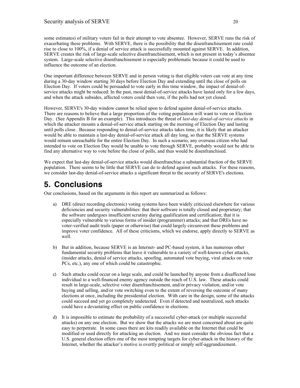some estimates) of military voters fail in their attempt to vote absentee. However, SERVE runs the risk of exacerbating these problems. With SERVE, there is the possibility that the disenfranchisement rate could rise to close to 100%, if a denial of service attack is successfully mounted against SERVE. In addition, SERVE creates the risk of large-scale selective disenfranchisement, which is not present in today's absentee system. Large-scale selective disenfranchisement is especially problematic because it could be used to influence the outcome of an election.

One important difference between SERVE and in person voting is that eligible voters can vote at any time during a 30-day window starting 30 days before Election Day and extending until the close of polls on Election Day. If voters could be persuaded to vote early in this time window, the impact of denial-ofservice attacks might be reduced: In the past, most denial-of-service attacks have lasted only for a few days, and when the attack subsides, affected voters could then vote, if the polls had not yet closed.

However, SERVE's 30-day window cannot be relied upon to defend against denial-of-service attacks. There are reasons to believe that a large proportion of the voting population will want to vote on Election Day. (See Appendix B for an example). This introduces the threat of *last-day denial-of-service attacks* in which the attacker mounts a denial-of-service attack starting on the morning of Election Day and lasting until polls close. Because responding to denial-of-service attacks takes time, it is likely that an attacker would be able to maintain a last-day denial-of-service attack all day long, so that the SERVE systems would remain unreachable for the entire Election Day. In such a scenario, any overseas citizen who had intended to vote on Election Day would be unable to vote through SERVE, probably would not be able to find any alternative way to vote before the close of polls, and thus would be disenfranchised.

We expect that last-day denial-of-service attacks would disenfranchise a substantial fraction of the SERVE population. There seems to be little that SERVE can do to defend against such attacks. For these reasons, we consider last-day denial-of-service attacks a significant threat to the security of SERVE's elections.

# **5. Conclusions**

Our conclusions, based on the arguments in this report are summarized as follows:

- a) DRE (direct recording electronic) voting systems have been widely criticized elsewhere for various deficiencies and security vulnerabilities: that their software is totally closed and proprietary; that the software undergoes insufficient scrutiny during qualification and certification; that it is especially vulnerable to various forms of insider (programmer) attacks; and that DREs have no voter-verified audit trails (paper or otherwise) that could largely circumvent these problems and improve voter confidence. All of these criticisms, which we endorse, apply directly to SERVE as well.
- b) But in addition, because SERVE is an Internet- and PC-based system, it has numerous other fundamental security problems that leave it vulnerable to a variety of well-known cyber attacks, (insider attacks, denial of service attacks, spoofing, automated vote buying, viral attacks on voter PCs, etc.), any one of which could be catastrophic.
- c) Such attacks could occur on a large scale, and could be launched by anyone from a disaffected lone individual to a well-financed enemy agency outside the reach of U.S. law. These attacks could result in large-scale, selective voter disenfranchisement, and/or privacy violation, and/or vote buying and selling, and/or vote switching even to the extent of reversing the outcome of many elections at once, including the presidential election. With care in the design, some of the attacks could succeed and yet go completely undetected. Even if detected and neutralized, such attacks could have a devastating effect on public confidence in elections.
- d) It is impossible to estimate the probability of a successful cyber-attack (or multiple successful attacks) on any one election. But we show that the attacks we are most concerned about are quite easy to perpetrate. In some cases there are kits readily available on the Internet that could be modified or used directly for attacking an election. And we must consider the obvious fact that a U.S. general election offers one of the most tempting targets for cyber-attack in the history of the Internet, whether the attacker's motive is overtly political or simply self-aggrandizement.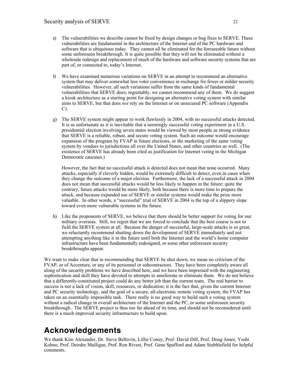- e) The vulnerabilities we describe cannot be fixed by design changes or bug fixes to SERVE. These vulnerabilities are fundamental in the architecture of the Internet and of the PC hardware and software that is ubiquitous today. They cannot all be eliminated for the foreseeable future without some unforeseen breakthrough. It is quite possible that they will not be eliminated without a wholesale redesign and replacement of much of the hardware and software security systems that are part of, or connected to, today's Internet.
- f) We have examined numerous variations on SERVE in an attempt to recommend an alternative system that may deliver somewhat less voter convenience in exchange for fewer or milder security vulnerabilities. However, all such variations suffer from the same kinds of fundamental vulnerabilities that SERVE does; regrettably, we cannot recommend any of them. We do suggest a kiosk architecture as a starting point for designing an alternative voting system with similar aims to SERVE, but that does *not* rely on the Internet or on unsecured PC software (Appendix  $C$ ).
- g) The SERVE system might appear to work flawlessly in 2004, with no successful attacks detected. It is as unfortunate as it is inevitable that a seemingly successful voting experiment in a U.S. presidential election involving seven states would be viewed by most people as strong evidence that SERVE is a reliable, robust, and secure voting system. Such an outcome would encourage expansion of the program by FVAP in future elections, or the marketing of the same voting system by vendors to jurisdictions all over the United States, and other countries as well. (The existence of SERVE has already been cited as justification for Internet voting in the Michigan Democratic caucuses.)

However, the fact that no successful attack is detected does not mean that none occurred. Many attacks, especially if cleverly hidden, would be extremely difficult to detect, even in cases when they change the outcome of a major election. Furthermore, the lack of a successful attack in 2004 does not mean that successful attacks would be less likely to happen in the future; quite the contrary, future attacks would be more likely, both because there is more time to prepare the attack, and because expanded use of SERVE or similar systems would make the prize more valuable. In other words, a "successful" trial of SERVE in 2004 is the top of a slippery slope toward even more vulnerable systems in the future.

h) Like the proponents of SERVE, we believe that there should be better support for voting for our military overseas. Still, we regret that we are forced to conclude that the best course is not to field the SERVE system at all. Because the danger of successful, large-scale attacks is so great, we reluctantly recommend shutting down the development of SERVE immediately and not attempting anything like it in the future until both the Internet and the world's home computer infrastructure have been fundamentally redesigned, or some other unforeseen security breakthroughs appear.

We want to make clear that in recommending that SERVE be shut down, we mean no criticism of the FVAP, or of Accenture, or any of its personnel or subcontractors. They have been completely aware all along of the security problems we have described here, and we have been impressed with the engineering sophistication and skill they have devoted to attempts to ameliorate or eliminate them. We do not believe that a differently-constituted project could do any better job than the current team. The real barrier to success is not a lack of vision, skill, resources, or dedication; it is the fact that, given the current Internet and PC security technology, and the goal of a secure, all-electronic remote voting system, the FVAP has taken on an essentially impossible task. There really is no good way to build such a voting system without a radical change in overall architecture of the Internet and the PC, or some unforeseen security breakthrough. The SERVE project is thus too far ahead of its time, and should not be reconsidered until there is a much improved security infrastructure to build upon.

# **Acknowledgements**

We thank Kim Alexander, Dr. Steve Bellovin, Lillie Coney, Prof. David Dill, Prof. Doug Jones, Yoshi Kohno, Prof. Deirdre Mulligan, Prof. Ron Rivest, Prof. Gene Spafford and Adam Stubblefield for helpful comments.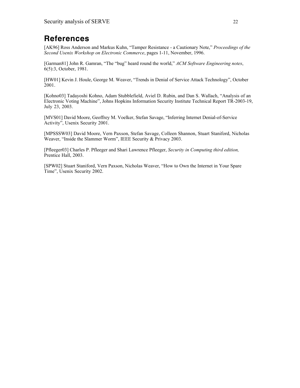# **References**

[AK96] Ross Anderson and Markus Kuhn, "Tamper Resistance - a Cautionary Note," *Proceedings of the Second Usenix Workshop on Electronic Commerce*, pages 1-11, November, 1996.

[Garman81] John R. Gamran, "The "bug" heard round the world," *ACM Software Engineering notes*, 6(5):3, October, 1981.

[HW01] Kevin J. Houle, George M. Weaver, "Trends in Denial of Service Attack Technology", October 2001.

[Kohno03] Tadayoshi Kohno, Adam Stubblefield, Aviel D. Rubin, and Dan S. Wallach, "Analysis of an Electronic Voting Machine", Johns Hopkins Information Security Institute Technical Report TR-2003-19, July 23, 2003.

[MVS01] David Moore, Geoffrey M. Voelker, Stefan Savage, "Inferring Internet Denial-of-Service Activity", Usenix Security 2001.

[MPSSSW03] David Moore, Vern Paxson, Stefan Savage, Colleen Shannon, Stuart Staniford, Nicholas Weaver, "Inside the Slammer Worm", IEEE Security & Privacy 2003.

[Pfleeger03] Charles P. Pfleeger and Shari Lawrence Pfleeger, *Security in Computing third edition,* Prentice Hall, 2003.

[SPW02] Stuart Staniford, Vern Paxson, Nicholas Weaver, "How to Own the Internet in Your Spare Time", Usenix Security 2002.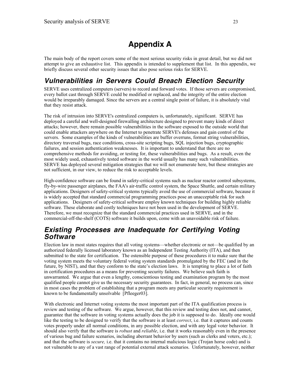# **Appendix A**

The main body of the report covers some of the most serious security risks in great detail, but we did not attempt to give an exhaustive list. This appendix is intended to supplement that list. In this appendix, we briefly discuss several other security issues that also pose serious risks for SERVE.

### **Vulnerabilities in Servers Could Breach Election Security**

SERVE uses centralized computers (servers) to record and forward votes. If those servers are compromised, every ballot cast through SERVE could be modified or replaced, and the integrity of the entire election would be irreparably damaged. Since the servers are a central single point of failure, it is absolutely vital that they resist attack.

The risk of intrusion into SERVE's centralized computers is, unfortunately, significant. SERVE has deployed a careful and well-designed firewalling architecture designed to prevent many kinds of direct attacks; however, there remain possible vulnerabilities in the software exposed to the outside world that could enable attackers anywhere on the Internet to penetrate SERVE's defenses and gain control of the servers. Some examples of the kinds of vulnerabilities are buffer overruns, format string vulnerabilities, directory traversal bugs, race conditions, cross-site scripting bugs, SQL injection bugs, cryptographic failures, and session authentication weaknesses. It is important to understand that there are no comprehensive methods for avoiding, or testing for, these vulnerabilities and bugs. As a result, even the most widely used, exhaustively tested software in the world usually has many such vulnerabilities. SERVE has deployed several mitigation strategies that we will not enumerate here, but these strategies are not sufficient, in our view, to reduce the risk to acceptable levels.

High-confidence software can be found in safety-critical systems such as nuclear reactor control subsystems, fly-by-wire passenger airplanes, the FAA's air-traffic control system, the Space Shuttle, and certain military applications. Designers of safety-critical systems typically avoid the use of commercial software, because it is widely accepted that standard commercial programming practices pose an unacceptable risk for such applications. Designers of safety-critical software employ known techniques for building highly reliable software. These elaborate and costly techniques have not been used in the development of SERVE. Therefore, we must recognize that the standard commercial practices used in SERVE, and in the commercial-off-the-shelf (COTS) software it builds upon, come with an unavoidable risk of failure.

#### **Existing Processes are Inadequate for Certifying Voting Software**

Election law in most states requires that all voting systems—whether electronic or not—be qualified by an authorized federally licensed laboratory known as an Independent Testing Authority (ITA), and then submitted to the state for certification. The ostensible purpose of these procedures it to make sure that the voting system meets the voluntary federal voting system standards promulgated by the FEC (and in the future, by NIST), and that they conform to the state's election laws. It is tempting to place a lot of faith in certification procedures as a means for preventing security failures. We believe such faith is unwarranted. We argue that even a lengthy, conscientious testing and examination program by the most qualified people cannot give us the necessary security guarantees. In fact, in general, no process can, since in most cases the problem of establishing that a program meets any particular security requirement is known to be fundamentally unsolvable [Pfleeger03].

With electronic and Internet voting systems the most important part of the ITA qualification process is review and testing of the software. We argue, however, that this review and testing does not, and cannot, guarantee that the software in voting systems actually does the job it is supposed to do. Ideally one would like the testing to be designed to verify that the software is at least *correct*, i.e. that it captures and counts votes properly under all normal conditions, in any possible election, and with any legal voter behavior. It should also verify that the software is *robust* and *reliable*, i.e. that it works reasonably even in the presence of various bug and failure scenarios, including aberrant behavior by users (such as clerks and voters, etc.); and that the software is *secure,* i.e. that it contains no internal malicious logic (Trojan horse code) and is not vulnerable to any of a vast range of potential external attack scenarios. Unfortunately, however, neither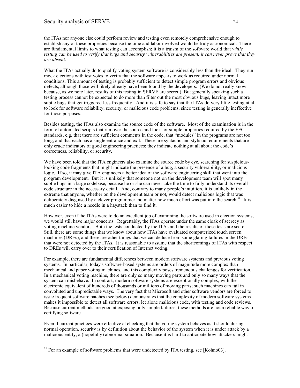the ITAs nor anyone else could perform review and testing even remotely comprehensive enough to establish any of these properties because the time and labor involved would be truly astronomical. There are fundamental limits to what testing can accomplish; it is a truism of the software world that *while testing can be used to verify that bugs and security vulnerabilities are present, it can never prove that they are absent*.

What the ITAs actually do to qualify voting system software is considerably less than the ideal. They run mock elections with test votes to verify that the software appears to work as required under normal conditions. This amount of testing is probably sufficient to detect simple program errors and obvious defects, although those will likely already have been found by the developers. (We do not really know because, as we note later, results of this testing in SERVE are secret.) But generally speaking such a testing process cannot be expected to do more than filter out the most obvious bugs, leaving intact more subtle bugs that get triggered less frequently. And it is safe to say that the ITAs do very little testing at all to look for software reliability, security, or malicious code problems, since testing is generally ineffective for those purposes.

Besides testing, the ITAs also examine the source code of the software. Most of the examination is in the form of automated scripts that run over the source and look for simple properties required by the FEC standards, e.g. that there are sufficient comments in the code, that "modules" in the programs are not too long, and that each has a single entrance and exit. These are syntactic and stylistic requirements that are only crude indicators of good engineering practices; they indicate nothing at all about the code's correctness, reliability, or security.

We have been told that the ITA engineers also examine the source code by eye, searching for suspiciouslooking code fragments that might indicate the presence of a bug, a security vulnerability, or malicious logic. If so, it may give ITA engineers a better idea of the software engineering skill that went into the program development. But it is unlikely that someone not on the development team will spot many subtle bugs in a large codebase, because he or she can never take the time to fully understand its overall code structure in the necessary detail. And, contrary to many people's intuition, it is unlikely in the extreme that anyone, whether on the development team or not, would detect malicious logic that was deliberately disguised by a clever programmer, no matter how much effort was put into the search.<sup>11</sup> It is much easier to hide a needle in a haystack than to find it.

However, even if the ITAs were to do an excellent job of examining the software used in election systems, we would still have major concerns. Regrettably, the ITAs operate under the same cloak of secrecy as voting machine vendors. Both the tests conducted by the ITAs and the results of those tests are secret. Still, there are some things that we know about how ITAs have evaluated computerized touch screen machines (DREs), and there are other things that we can deduce from some glaring failures in the DREs that were not detected by the ITAs. It is reasonable to assume that the shortcomings of ITAs with respect to DREs will carry over to their certification of Internet voting.

For example, there are fundamental differences between modern software systems and previous voting systems. In particular, today's software-based systems are orders of magnitude more complex than mechanical and paper voting machines, and this complexity poses tremendous challenges for verification. In a mechanical voting machine, there are only so many moving parts and only so many ways that the system can misbehave. In contrast, modern software systems are exceptionally complex, with the electronic equivalent of hundreds of thousands or millions of moving parts; such machines can fail in convoluted and unpredictable ways. The very fact that Microsoft and other software vendors are forced to issue frequent software patches (see below) demonstrates that the complexity of modern software systems makes it impossible to detect all software errors, let alone malicious code, with testing and code reviews. Because current methods are good at exposing only simple failures, these methods are not a reliable way of certifying software.

Even if current practices were effective at checking that the voting system behaves as it should during normal operation, security is by definition about the behavior of the system when it is under attack by a malicious entity, a (hopefully) abnormal situation. Because it is hard to anticipate how attackers might

 $\overline{a}$ 

 $11$  For an example of software problems that were undetected by ITA testing, see [Kohno03].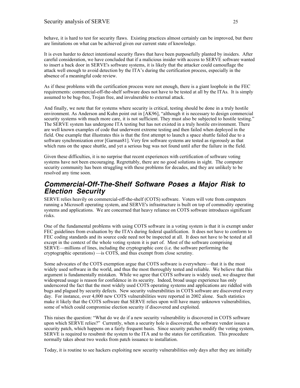behave, it is hard to test for security flaws. Existing practices almost certainly can be improved, but there are limitations on what can be achieved given our current state of knowledge.

It is even harder to detect intentional security flaws that have been purposefully planted by insiders. After careful consideration, we have concluded that if a malicious insider with access to SERVE software wanted to insert a back door in SERVE's software systems, it is likely that the attacker could camouflage the attack well enough to avoid detection by the ITA's during the certification process, especially in the absence of a meaningful code review.

As if these problems with the certification process were not enough, there is a giant loophole in the FEC requirements: commercial-off-the-shelf software does not have to be tested at all by the ITAs. It is simply assumed to be bug-free, Trojan free, and invulnerable to external attack.

And finally, we note that for systems where security is critical, testing should be done in a truly hostile environment. As Anderson and Kuhn point out in [AK96], "although it is necessary to design commercial security systems with much more care, it is not sufficient. They must also be subjected to hostile testing." The SERVE system has undergone ITA testing but has not existed in a truly hostile environment. There are well known examples of code that underwent extreme testing and then failed when deployed in the field. One example that illustrates this is that the first attempt to launch a space shuttle failed due to a software synchronization error [Garman81]. Very few software systems are tested as rigorously as that which runs on the space shuttle, and yet a serious bug was not found until after the failure in the field.

Given these difficulties, it is no surprise that recent experiences with certification of software voting systems have not been encouraging. Regrettably, there are no good solutions in sight. The computer security community has been struggling with these problems for decades, and they are unlikely to be resolved any time soon.

#### **Commercial-Off-The-Shelf Software Poses a Major Risk to Election Security**

SERVE relies heavily on commercial-off-the-shelf (COTS) software. Voters will vote from computers running a Microsoft operating system, and SERVE's infrastructure is built on top of commodity operating systems and applications. We are concerned that heavy reliance on COTS software introduces significant risks.

One of the fundamental problems with using COTS software in a voting system is that it is exempt under FEC guidelines from evaluation by the ITA's during federal qualification. It does not have to conform to FEC coding standards and its source code need not be inspected at all. It does not have to be tested at all except in the context of the whole voting system it is part of. Most of the software comprising SERVE—millions of lines, including the cryptographic core (i.e. the software performing the cryptographic operations) —is COTS, and thus exempt from close scrutiny.

Some advocates of the COTS exemption argue that COTS software is everywhere—that it is the most widely used software in the world, and thus the most thoroughly tested and reliable. We believe that this argument is fundamentally mistaken. While we agree that COTS software is widely used, we disagree that widespread usage is reason for confidence in its security. Indeed, broad usage experience has only underscored the fact that the most widely used COTS operating systems and applications are riddled with bugs and plagued by security defects. New security vulnerabilities in COTS software are discovered every day. For instance, over 4,000 new COTS vulnerabilities were reported in 2002 alone. Such statistics make it likely that the COTS software that SERVE relies upon will have many unknown vulnerabilities, some of which could compromise election security if discovered and exploited.

This raises the question: "What do we do if a new security vulnerability is discovered in COTS software upon which SERVE relies?" Currently, when a security hole is discovered, the software vendor issues a security patch, which happens on a fairly frequent basis. Since security patches modify the voting system, SERVE is required to resubmit the system to the ITA and to the states for certification. This procedure normally takes about two weeks from patch issuance to installation.

Today, it is routine to see hackers exploiting new security vulnerabilities only days after they are initially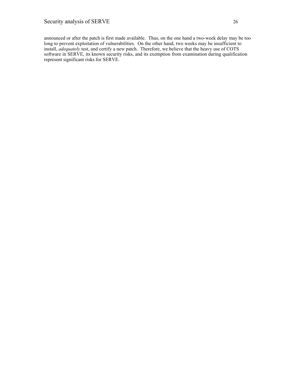announced or after the patch is first made available. Thus, on the one hand a two-week delay may be too long to prevent exploitation of vulnerabilities. On the other hand, two weeks may be insufficient to install, *adequately* test, and certify a new patch. Therefore, we believe that the heavy use of COTS software in SERVE, its known security risks, and its exemption from examination during qualification represent significant risks for SERVE.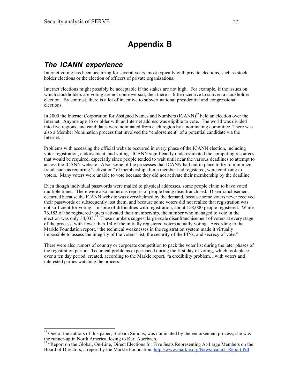# **Appendix B**

#### **The ICANN experience**

 $\overline{a}$ 

Internet voting has been occurring for several years, most typically with private elections, such as stock holder elections or the election of officers of private organizations.

Internet elections might possibly be acceptable if the stakes are not high. For example, if the issues on which stockholders are voting are not controversial, then there is little incentive to subvert a stockholder election. By contrast, there is a lot of incentive to subvert national presidential and congressional elections.

In 2000 the Internet Corporation for Assigned Names and Numbers  $(ICANN)^{12}$  held an election over the Internet. Anyone age 16 or older with an Internet address was eligible to vote. The world was divided into five regions, and candidates were nominated from each region by a nominating committee. There was also a Member Nomination process that involved the "endorsement" of a potential candidate via the Internet.

Problems with accessing the official website occurred in every phase of the ICANN election, including voter registration, endorsement, and voting. ICANN significantly underestimated the computing resources that would be required, especially since people tended to wait until near the various deadlines to attempt to access the ICANN website. Also, some of the processes that ICANN had put in place to try to minimize fraud, such as requiring "activation" of membership after a member had registered, were confusing to voters. Many voters were unable to vote because they did not activate their membership by the deadline.

Even though individual passwords were mailed to physical addresses, some people claim to have voted multiple times. There were also numerous reports of people being disenfranchised. Disenfranchisement occurred because the ICANN website was overwhelmed by the demand, because some voters never received their passwords or subsequently lost them, and because some voters did not realize that registration was not sufficient for voting. In spite of difficulties with registration, about 158,000 people registered. While 76,183 of the registered voters activated their membership, the number who managed to vote in the election was only 34,035.<sup>13</sup> These numbers suggest large-scale disenfranchisement of voters at every stage of the process, with fewer than 1/4 of the initially registered voters actually voting. According to the Markle Foundation report, "the technical weaknesses in the registration system made it virtually impossible to assess the integrity of the voters' list, the security of the PINs, and secrecy of vote."

There were also rumors of country or corporate competition to pack the voter list during the later phases of the registration period. Technical problems experienced during the first day of voting, which took place over a ten day period, created, according to the Markle report, "a credibility problem…with voters and interested parties watching the process."

 $12$  One of the authors of this paper, Barbara Simons, was nominated by the endorsement process; she was the runner-up in North America, losing to Karl Auerbach.

<sup>&</sup>lt;sup>13</sup> "Report on the Global, On-Line, Direct Elections for Five Seats Representing At-Large Members on the Board of Directors, a report by the Markle Foundation, http://www.markle.org/News/Icann2\_Report.Pdf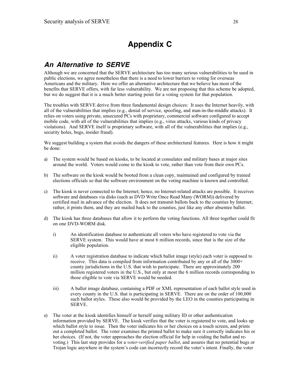# **Appendix C**

#### **An Alternative to SERVE**

Although we are concerned that the SERVE architecture has too many serious vulnerabilities to be used in public elections, we agree nonetheless that there is a need to lower barriers to voting for overseas Americans and the military. Here we offer an alternative architecture that we believe has most of the benefits that SERVE offers, with far less vulnerability. We are not proposing that this scheme be adopted, but we do suggest that it is a much better starting point for a voting system for that population.

The troubles with SERVE derive from three fundamental design choices: It uses the Internet heavily, with all of the vulnerabilities that implies (e.g., denial of service, spoofing, and man-in-the-middle attacks). It relies on voters using private, unsecured PCs with proprietary, commercial software configured to accept mobile code, with all of the vulnerabilities that implies (e.g., virus attacks, various kinds of privacy violations). And SERVE itself is proprietary software, with all of the vulnerabilities that implies (e.g., security holes, bugs, insider fraud).

We suggest building a system that avoids the dangers of these architectural features. Here is how it might be done:

- a) The system would be based on kiosks, to be located at consulates and military bases at major sites around the world. Voters would come to the kiosk to vote, rather than vote from their own PCs.
- b) The software on the kiosk would be booted from a clean copy, maintained and configured by trained elections officials so that the software environment on the voting machine is known and controlled.
- c) The kiosk is never connected to the Internet; hence, no Internet-related attacks are possible. It receives software and databases via disks (such as DVD Write Once Read Many (WORM)) delivered by certified mail in advance of the election. It does not transmit ballots back to the counties by Internet; rather, it prints them, and they are mailed back to the counties, just like any other absentee ballot.
- d) The kiosk has three databases that allow it to perform the voting functions. All three together could fit on one DVD-WORM disk.
	- i) An identification database to authenticate all voters who have registered to vote via the SERVE system. This would have at most 6 million records, since that is the size of the eligible population.
	- ii) A voter registration database to indicate which ballot image (style) each voter is supposed to receive. This data is compiled from information contributed by any or all of the 3000+ county jurisdictions in the U.S. that wish to participate. There are approximately 200 million registered voters in the U.S., but only at most the 6 million records corresponding to those eligible to vote via SERVE would be needed.
	- iii) A ballot image database, containing a PDF or XML representation of each ballot style used in every county in the U.S. that is participating in SERVE. There are on the order of 100,000 such ballot styles. These also would be provided by the LEO in the counties participating in SERVE.
- e) The voter at the kiosk identifies himself or herself using military ID or other authentication information provided by SERVE. The kiosk verifies that the voter is registered to vote, and looks up which ballot style to issue. Then the voter indicates his or her choices on a touch screen, and prints out a completed ballot. The voter examines the printed ballot to make sure it correctly indicates his or her choices. (If not, the voter approaches the election official for help in voiding the ballot and revoting.) This last step provides for a *voter-verified paper ballot*, and assures that no potential bugs or Trojan logic anywhere in the system's code can incorrectly record the voter's intent. Finally, the voter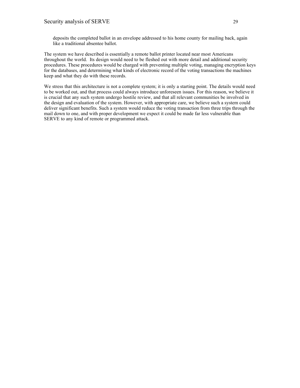deposits the completed ballot in an envelope addressed to his home county for mailing back, again like a traditional absentee ballot.

The system we have described is essentially a remote ballot printer located near most Americans throughout the world. Its design would need to be fleshed out with more detail and additional security procedures. These procedures would be charged with preventing multiple voting, managing encryption keys for the databases, and determining what kinds of electronic record of the voting transactions the machines keep and what they do with these records.

We stress that this architecture is not a complete system; it is only a starting point. The details would need to be worked out, and that process could always introduce unforeseen issues. For this reason, we believe it is crucial that any such system undergo hostile review, and that all relevant communities be involved in the design and evaluation of the system. However, with appropriate care, we believe such a system could deliver significant benefits. Such a system would reduce the voting transaction from three trips through the mail down to one, and with proper development we expect it could be made far less vulnerable than SERVE to any kind of remote or programmed attack.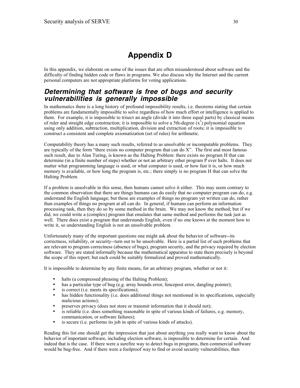# **Appendix D**

In this appendix, we elaborate on some of the issues that are often misunderstood about software and the difficulty of finding hidden code or flaws in programs. We also discuss why the Internet and the current personal computers are not appropriate platforms for voting applications.

#### **Determining that software is free of bugs and security vulnerabilities is generally impossible**

In mathematics there is a long history of profound impossibility results, i.e. theorems stating that certain problems are fundamentally impossible to solve regardless of how much effort or intelligence is applied to them. For example, it is impossible to trisect an angle (divide it into three equal parts) by classical means of ruler and straight edge construction; it is impossible to solve a 5th-degree  $(x^5)$  polynomial equation using only addition, subtraction, multiplication, division and extraction of roots; it is impossible to construct a consistent and complete axiomatization (set of rules) for arithmetic.

Computability theory has a many such results, referred to as unsolvable or incomputable problems. They are typically of the form "there exists no computer program that can do X". The first and most famous such result, due to Alan Turing, is known as the Halting Problem: there exists no program H that can determine (in a finite number of steps) whether or not an arbitrary other program P ever halts. It does not matter what programming language is used, or what computer is used, or how fast it is, or how much memory is available, or how long the program is, etc.; there simply is no program H that can solve the Halting Problem.

If a problem is unsolvable in this sense, then humans cannot solve it either. This may seem contrary to the common observation that there are things humans can do easily that no computer program can do, e.g. understand the English language; but these are examples of things no program yet written can do, rather than examples of things no program at all can do. In general, if humans can perform an information processing task, then they do so by some method in the brain. We may not know the method; but if we did, we could write a (complex) program that emulates that same method and performs the task just as well. There does exist a program that understands English, even if no one knows at the moment how to write it, so understanding English is not an unsolvable problem.

Unfortunately many of the important questions one might ask about the behavior of software--its correctness, reliability, or security--turn out to be unsolvable. Here is a partial list of such problems that are relevant to program correctness (absence of bugs), program security, and the privacy required by election software. They are stated informally because the mathematical apparatus to state them precisely is beyond the scope of this report; but each could be suitably formalized and proved mathematically.

It is impossible to determine by any finite means, for an arbitrary program, whether or not it:

- halts (a compressed phrasing of the Halting Problem);
- has a particular type of bug (e.g. array bounds error, fencepost error, dangling pointer);<br>• is correct (i.e. meets its specifications);
- is correct (i.e. meets its specifications);<br>• has hidden functionality (i.e. does additionally)
- has hidden functionality (i.e. does additional things not mentioned in its specifications, especially malicious actions);
- preserves privacy (does not store or transmit information that it should not);
- is reliable (i.e. does something reasonable in spite of various kinds of failures, e.g. memory, communication, or software failures);
- is secure (i.e. performs its job in spite of various kinds of attacks).

Reading this list one should get the impression that just about anything you really want to know about the behavior of important software, including election software, is impossible to determine for certain. And indeed that is the case. If there were a surefire way to detect bugs in programs, then commercial software would be bug-free. And if there were a foolproof way to find or avoid security vulnerabilities, then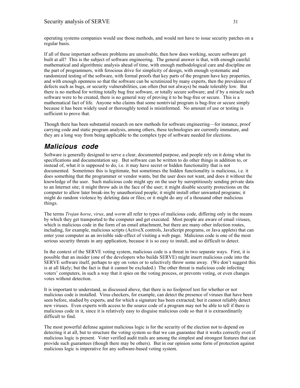operating systems companies would use those methods, and would not have to issue security patches on a regular basis.

If all of these important software problems are unsolvable, then how does working, secure software get built at all? This is the subject of software engineering. The general answer is that, with enough careful mathematical and algorithmic analysis ahead of time, with enough methodological care and discipline on the part of programmers, with ferocious drive for simplicity of design, with enough systematic and randomized testing of the software, with formal proofs that key parts of the program have key properties, and with enough openness so that the software can be scrutinized by many experts, then the prevalence of defects such as bugs, or security vulnerabilities, can often (but not always) be made tolerably low. But there is no method for writing totally bug free software, or totally secure software; and if by a miracle such software were to be created, there is no general way of proving it to be bug-free or secure. This is a mathematical fact of life. Anyone who claims that some nontrivial program is bug-free or secure simply because it has been widely used or thoroughly tested is misinformed. No amount of use or testing is sufficient to prove that.

Though there has been substantial research on new methods for software engineering—for instance, proof carrying code and static program analysis, among others, these technologies are currently immature, and they are a long way from being applicable to the complex type of software needed for elections.

#### **Malicious code**

Software is generally designed to serve a clear, documented purpose, and people rely on it doing what its specifications and documentation say. But software can be written to do other things in addition to, or instead of, what it is supposed to do, i.e. it may have secret or hidden functionality that is not documented. Sometimes this is legitimate, but sometimes the hidden functionality is malicious, i.e. it does something that the programmer or vendor wants, but the user does not want, and does it without the knowledge of the user. Such malicious code might spy on the user by surreptitiously sending private data to an Internet site; it might throw ads in the face of the user; it might disable security protections on the computer to allow later break-ins by unauthorized people; it might install other unwanted programs; it might do random violence by deleting data or files; or it might do any of a thousand other malicious things.

The terms *Trojan horse*, *virus*, and *worm* all refer to types of malicious code, differing only in the means by which they get transported to the computer and get executed. Most people are aware of email viruses, which is malicious code in the form of an email attachment, but there are many other infection routes, including, for example, malicious scripts (ActiveX controls, JavaScript programs, or Java applets) that can enter your computer as an invisible side-effect of visiting a web page. Malicious code is one of the most serious security threats in any application, because it is so easy to install, and so difficult to detect.

In the context of the SERVE voting system, malicious code is a threat in two separate ways. First, it is possible that an insider (one of the developers who builds SERVE) might insert malicious code into the SERVE software itself, perhaps to spy on votes or to selectively throw some away. (We don't suggest this is at all likely; but the fact is that it cannot be excluded.) The other threat is malicious code infecting voters' computers, in such a way that it spies on the voting process, or prevents voting, or even changes votes without detection.

It is important to understand, as discussed above, that there is no foolproof test for whether or not malicious code is installed. Virus checkers, for example, can detect the presence of viruses that have been seen before, studied by experts, and for which a signature has been extracted; but it cannot reliably detect new viruses. Even experts with access to the source code of a program may not be able to tell if there is malicious code in it, since it is relatively easy to disguise malicious code so that it is extraordinarily difficult to find.

The most powerful defense against malicious logic is for the security of the election not to depend on detecting it at all, but to structure the voting system so that we can guarantee that it works correctly even if malicious logic is present. Voter verified audit trails are among the simplest and strongest features that can provide such guarantees (though there may be others). But in our opinion some form of protection against malicious logic is imperative for any software-based voting system.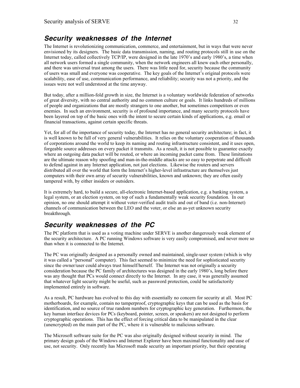#### **Security weaknesses of the Internet**

The Internet is revolutionizing communication, commerce, and entertainment, but in ways that were never envisioned by its designers. The basic data transmission, naming, and routing protocols still in use on the Internet today, called collectively TCP/IP, were designed in the late 1970's and early 1980's, a time when all network users formed a single community, when the network engineers all knew each other personally, and there was universal trust among the users. There was little need for, security because the community of users was small and everyone was cooperative. The key goals of the Internet's original protocols were scalability, ease of use, communication performance, and reliability; security was not a priority, and the issues were not well understood at the time anyway.

But today, after a million-fold growth in size, the Internet is a voluntary worldwide federation of networks of great diversity, with no central authority and no common culture or goals. It links hundreds of millions of people and organizations that are mostly strangers to one another, but sometimes competitors or even enemies. In such an environment, security is of profound importance, and many security protocols have been layered on top of the basic ones with the intent to secure certain kinds of applications, e.g. email or financial transactions, against certain specific threats.

Yet, for all of the importance of security today, the Internet has no general security architecture; in fact, it is well known to be full of very general vulnerabilities. It relies on the voluntary cooperation of thousands of corporations around the world to keep its naming and routing infrastructure consistent, and it uses open, forgeable source addresses on every packet it transmits. As a result, it is not possible to guarantee exactly where an outgoing data packet will be routed, or where an incoming packet came from. These limitations are the ultimate reason why spoofing and man-in-the-middle attacks are so easy to perpetrate and difficult to defend against in any Internet application, not just elections. Likewise the routers and servers distributed all over the world that form the Internet's higher-level infrastructure are themselves just computers with their own array of security vulnerabilities, known and unknown; they are often easily tampered with, by either insiders or outsiders.

It is extremely hard, to build a secure, all-electronic Internet-based application, e.g. a banking system, a legal system, or an election system, on top of such a fundamentally weak security foundation. In our opinion, no one should attempt it without voter-verified audit trails and out of band (i.e. non-Internet) channels of communication between the LEO and the voter, or else an as-yet unknown security breakthrough.

#### **Security weaknesses of the PC**

The PC platform that is used as a voting machine under SERVE is another dangerously weak element of the security architecture. A PC running Windows software is very easily compromised, and never more so than when it is connected to the Internet.

The PC was originally designed as a personally owned and maintained, single-user system (which is why it was called a "personal" computer). This fact seemed to minimize the need for sophisticated security since the owner/user could always trust himself/herself. The Internet was not originally a security consideration because the PC family of architectures was designed in the early 1980's, long before there was any thought that PCs would connect directly to the Internet. In any case, it was generally assumed that whatever light security might be useful, such as password protection, could be satisfactorily implemented entirely in software.

As a result, PC hardware has evolved to this day with essentially no concern for security at all. Most PC motherboards, for example, contain no tamperproof, cryptographic keys that can be used as the basis for identification, and no source of true random numbers for cryptographic key generation. Furthermore, the key human interface devices for PCs (keyboard, pointer, screen, or speakers) are not designed to perform cryptographic operations. This has the effect of forcing critical data to be manipulated in the clear (unencrypted) on the main part of the PC, where it is vulnerable to malicious software.

The Microsoft software suite for the PC was also originally designed without security in mind. The primary design goals of the Windows and Internet Explorer have been maximal functionality and ease of use, not security. Only recently has Microsoft made security an important priority, but their operating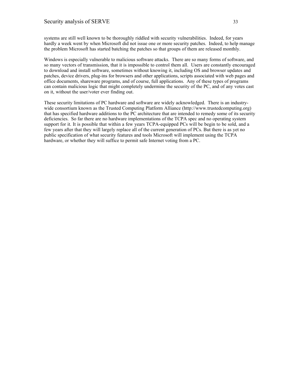systems are still well known to be thoroughly riddled with security vulnerabilities. Indeed, for years hardly a week went by when Microsoft did not issue one or more security patches. Indeed, to help manage the problem Microsoft has started batching the patches so that groups of them are released monthly.

Windows is especially vulnerable to malicious software attacks. There are so many forms of software, and so many vectors of transmission, that it is impossible to control them all. Users are constantly encouraged to download and install software, sometimes without knowing it, including OS and browser updates and patches, device drivers, plug-ins for browsers and other applications, scripts associated with web pages and office documents, shareware programs, and of course, full applications. Any of these types of programs can contain malicious logic that might completely undermine the security of the PC, and of any votes cast on it, without the user/voter ever finding out.

These security limitations of PC hardware and software are widely acknowledged. There is an industrywide consortium known as the Trusted Computing Platform Alliance (http://www.trustedcomputing.org) that has specified hardware additions to the PC architecture that are intended to remedy some of its security deficiencies. So far there are no hardware implementations of the TCPA spec and no operating system support for it. It is possible that within a few years TCPA-equipped PCs will be begin to be sold, and a few years after that they will largely replace all of the current generation of PCs. But there is as yet no public specification of what security features and tools Microsoft will implement using the TCPA hardware, or whether they will suffice to permit safe Internet voting from a PC.